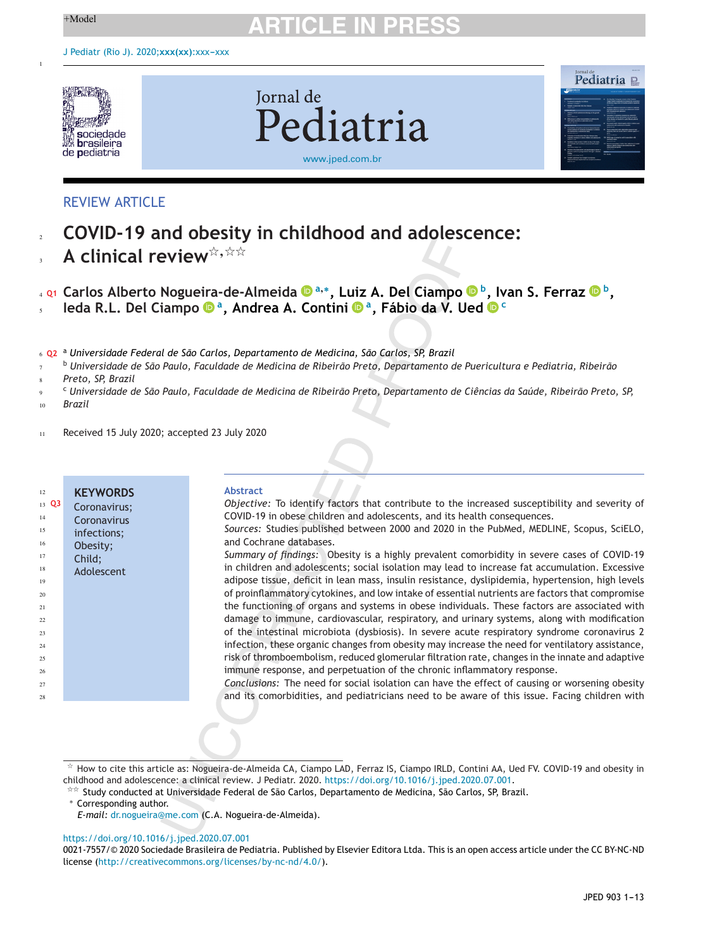1

# $+$ Model **ARTICLE IN PRESS**



**Jornal** de Pediatria [www.jped.com.br](http://www.jped.com.br)



# REVIEW ARTICLE

- **COVID-19 and obesity in childhood and adolescence:** 2
- **A clinical review**-**,**-- 3

**Carlos Alberto Nogueira-de-Almeid[a](https://orcid.org/0000-0003-1272-4404) <sup>a</sup>,∗, Luiz A. Del Ciampo b, Ivan S. Ferraz <sup>b</sup> Q1 ,** 4

**Ieda R.L. Del Ciampo a, Andrea A. Contini a, Fábio da V. Ue[d](https://orcid.org/0000-0003-2184-4977) <sup>c</sup>** 5

<sup>a</sup> **Q2** *Universidade Federal de São Carlos, Departamento de Medicina, São Carlos, SP, Brazil* 6

<sup>b</sup> Universidade de São Paulo, Faculdade de Medicina de Ribeirão Preto, Departamento de Puericultura e Pediatria, Ribeirão 7

*Preto, SP, Brazil* 8

- <sup>c</sup> Universidade de São Paulo, Faculdade de Medicina de Ribeirão Preto, Departamento de Ciências da Saúde, Ribeirão Preto, SP, 9
- *Brazil* 10
- Received 15 July 2020; accepted 23 July 2020 11

| 12              | <b>KEYWORDS</b> | <b>Abstract</b>                                                                                   |
|-----------------|-----------------|---------------------------------------------------------------------------------------------------|
| $13 \text{ Q}3$ | Coronavirus;    | Objective: To identify factors that contribute to the increased susceptibility and severity of    |
| 14              | Coronavirus     | COVID-19 in obese children and adolescents, and its health consequences.                          |
| 15              | infections;     | Sources: Studies published between 2000 and 2020 in the PubMed, MEDLINE, Scopus, SciELO,          |
| 16              | Obesity;        | and Cochrane databases.                                                                           |
| 17              | Child:          | Summary of findings: Obesity is a highly prevalent comorbidity in severe cases of COVID-19        |
| 18              | Adolescent      | in children and adolescents; social isolation may lead to increase fat accumulation. Excessive    |
| 19              |                 | adipose tissue, deficit in lean mass, insulin resistance, dyslipidemia, hypertension, high levels |
| 20              |                 | of proinflammatory cytokines, and low intake of essential nutrients are factors that compromise   |
| 21              |                 | the functioning of organs and systems in obese individuals. These factors are associated with     |
| 22              |                 | damage to immune, cardiovascular, respiratory, and urinary systems, along with modification       |
| 23              |                 | of the intestinal microbiota (dysbiosis). In severe acute respiratory syndrome coronavirus 2      |
| 24              |                 | infection, these organic changes from obesity may increase the need for ventilatory assistance,   |
| 25              |                 | risk of thromboembolism, reduced glomerular filtration rate, changes in the innate and adaptive   |
| 26              |                 | immune response, and perpetuation of the chronic inflammatory response.                           |
| 27              |                 | Conclusions: The need for social isolation can have the effect of causing or worsening obesity    |
| 28              |                 | and its comorbidities, and pediatricians need to be aware of this issue. Facing children with     |
|                 |                 |                                                                                                   |
|                 |                 |                                                                                                   |

 $^\star$  How to cite this article as: Nogueira-de-Almeida CA, Ciampo LAD, Ferraz IS, Ciampo IRLD, Contini AA, Ued FV. COVID-19 and obesity in childhood and adolescence: a clinical review. J Pediatr. 2020. [https://doi.org/10.1016/j.jped.2020.07.001.](https://doi.org/10.1016/j.jped.2020.07.001)

## <https://doi.org/10.1016/j.jped.2020.07.001>

0021-7557/© 2020 Sociedade Brasileira de Pediatria. Published by Elsevier Editora Ltda. This is an open access article under the CC BY-NC-ND license (<http://creativecommons.org/licenses/by-nc-nd/4.0/>).

<sup>-</sup>- Study conducted at Universidade Federal de São Carlos, Departamento de Medicina, São Carlos, SP, Brazil.

<sup>∗</sup> Corresponding author.

*E-mail:* [dr.nogueira@me.com](mailto:dr.nogueira@me.com) (C.A. Nogueira-de-Almeida).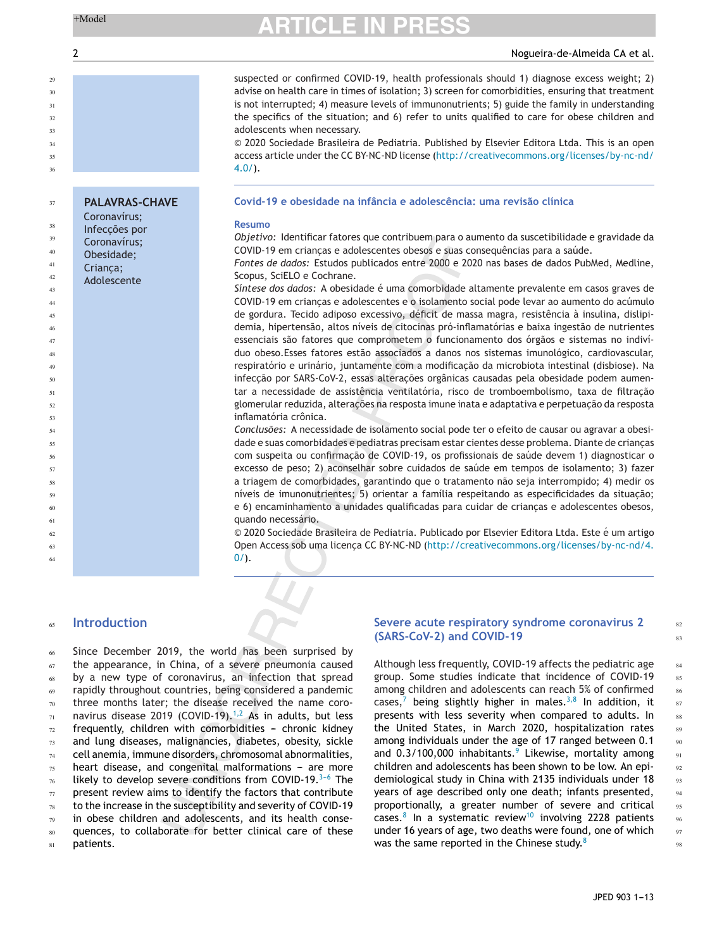**PALAVRAS-CHAVE**

Coronavírus; Infecc¸ões por Coronavírus; Obesidade; Crianca; Adolescente

# $+$ Model **ARTICLE IN PRESS**

# 2 Nogueira-de-Almeida CA et al.

suspected or confirmed COVID-19, health professionals should 1) diagnose excess weight; 2) advise on health care in times of isolation; 3) screen for comorbidities, ensuring that treatment is not interrupted; 4) measure levels of immunonutrients; 5) guide the family in understanding the specifics of the situation; and 6) refer to units qualified to care for obese children and adolescents when necessary.

© 2020 Sociedade Brasileira de Pediatria. Published by Elsevier Editora Ltda. This is an open access article under the CC BY-NC-ND license [\(http://creativecommons.org/licenses/by-nc-nd/](http://creativecommons.org/licenses/by-nc-nd/4.0/)  $4.0/$ ).

# **Covid-19 e obesidade na infância e adolescência: uma revisão clínica**

## **Resumo**

*Objetivo:* Identificar fatores que contribuem para o aumento da suscetibilidade e gravidade da COVID-19 em crianças e adolescentes obesos e suas consequências para a saúde.

*Fontes de dados:* Estudos publicados entre 2000 e 2020 nas bases de dados PubMed, Medline, Scopus, SciELO e Cochrane.

*Síntese dos dados:* A obesidade é uma comorbidade altamente prevalente em casos graves de COVID-19 em crianças e adolescentes e o isolamento social pode levar ao aumento do acúmulo de gordura. Tecido adiposo excessivo, déficit de massa magra, resistência à insulina, dislipidemia, hipertensão, altos níveis de citocinas pró-inflamatórias e baixa ingestão de nutrientes essenciais são fatores que comprometem o funcionamento dos órgãos e sistemas no indivíduo obeso.Esses fatores estão associados a danos nos sistemas imunológico, cardiovascular, respiratório e urinário, juntamente com a modificação da microbiota intestinal (disbiose). Na infeccão por SARS-CoV-2, essas alteracões orgânicas causadas pela obesidade podem aumentar a necessidade de assistência ventilatória, risco de tromboembolismo, taxa de filtração glomerular reduzida, alterações na resposta imune inata e adaptativa e perpetuação da resposta inflamatória crônica.

*Conclusões:* A necessidade de isolamento social pode ter o efeito de causar ou agravar a obesidade e suas comorbidades e pediatras precisam estar cientes desse problema. Diante de crianças com suspeita ou confirmação de COVID-19, os profissionais de saúde devem 1) diagnosticar o excesso de peso; 2) aconselhar sobre cuidados de saúde em tempos de isolamento; 3) fazer a triagem de comorbidades, garantindo que o tratamento não seja interrompido; 4) medir os níveis de imunonutrientes; 5) orientar a família respeitando as especificidades da situação; e 6) encaminhamento a unidades qualificadas para cuidar de criancas e adolescentes obesos, quando necessário.

© 2020 Sociedade Brasileira de Pediatria. Publicado por Elsevier Editora Ltda. Este é um artigo Open Access sob uma licenca CC BY-NC-ND ([http://creativecommons.org/licenses/by-nc-nd/4.](http://creativecommons.org/licenses/by-nc-nd/4.0/)  $0/$ ).

### **Introduction** 65

Since December 2019, the world has been surprised by the appearance, in China, of a severe pneumonia caused by a new type of coronavirus, an infection that spread rapidly throughout countries, being considered a pandemic three months later; the disease received the name coronavirus disease 2019 (COVID-19). $1,2$  As in adults, but less frequently, children with comorbidities - chronic kidney and lung diseases, malignancies, diabetes, obesity, sickle cell anemia, immune disorders, chromosomal abnormalities, heart disease, and congenital malformations - are more likely to develop severe conditions from COVID-19. $3-6$  The present review aims to identify the factors that contribute to the increase in the susceptibility and severity of COVID-19 in obese children and adolescents, and its health consequences, to collaborate for better clinical care of these patients. 66 67 68 69 70 71 72 73 74 75 76 77 78 79  $80$ 81

## **Severe acute respiratory syndrome coronavirus 2 (SARS-CoV-2) and COVID-19**

Although less frequently, COVID-19 affects the pediatric age group. Some studies indicate that incidence of COVID-19 among children and adolescents can reach 5% of confirmed cases,<sup>[7](#page-8-0)</sup> being slightly higher in males.<sup>[3,8](#page-8-0)</sup> In addition, it presents with less severity when compared to adults. In the United States, in March 2020, hospitalization rates among individuals under the age of 17 ranged between 0.1 and  $0.3/100,000$  inhabitants.<sup>[9](#page-8-0)</sup> Likewise, mortality among children and adolescents has been shown to be low. An epidemiological study in China with 2135 individuals under 18 years of age described only one death; infants presented, proportionally, a greater number of severe and critical cases.<sup>[8](#page-8-0)</sup> In a systematic review<sup>[10](#page-8-0)</sup> involving 2228 patients under 16 years of age, two deaths were found, one of which was the same reported in the Chinese study.<sup>[8](#page-8-0)</sup>

82

JPED 903 1-13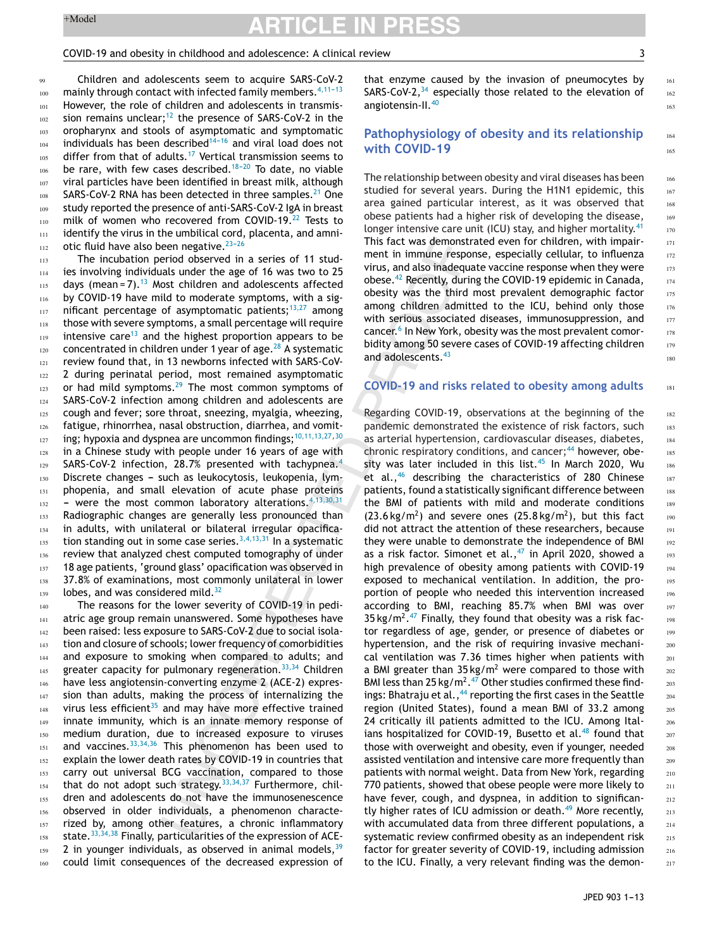### COVID-19 and obesity in childhood and adolescence: A clinical review 3

181

Children and adolescents seem to acquire SARS-CoV-2 mainly through contact with infected family members.  $4,11-13$ However, the role of children and adolescents in transmis-sion remains unclear;<sup>[12](#page-8-0)</sup> the presence of SARS-CoV-2 in the oropharynx and stools of asymptomatic and symptomatic individuals has been described $14-16$  and viral load does not differ from that of adults.<sup>[17](#page-8-0)</sup> Vertical transmission seems to be rare, with few cases described. $18-20$  To date, no viable viral particles have been identified in breast milk, although SARS-CoV-2 RNA has been detected in three samples.<sup>[21](#page-8-0)</sup> One study reported the presence of anti-SARS-CoV-2 IgA in breast milk of women who recovered from COVID-19.<sup>[22](#page-8-0)</sup> Tests to identify the virus in the umbilical cord, placenta, and amniotic fluid have also been negative.  $23-26$  $^{99}$ 100 101 102 103 104 105 106 107 108 109 110 111 112

The incubation period observed in a series of 11 studies involving individuals under the age of 16 was two to 25 days (mean =  $7$ ).<sup>[13](#page-8-0)</sup> Most children and adolescents affected by COVID-19 have mild to moderate symptoms, with a significant percentage of asymptomatic patients; $13,27$  among those with severe symptoms, a small percentage will require intensive care<sup>[13](#page-8-0)</sup> and the highest proportion appears to be concentrated in children under 1 year of age. $^{28}$  $^{28}$  $^{28}$  A systematic review found that, in 13 newborns infected with SARS-CoV-2 during perinatal period, most remained asymptomatic or had mild symptoms. $29$  The most common symptoms of SARS-CoV-2 infection among children and adolescents are cough and fever; sore throat, sneezing, myalgia, wheezing, fatigue, rhinorrhea, nasal obstruction, diarrhea, and vomit-ing; hypoxia and dyspnea are uncommon findings;<sup>[10,11,13,27,30](#page-8-0)</sup> in a Chinese study with people under 16 years of age with SARS-CoV-2 infection, 28.7% presented with tachypnea.<sup>[4](#page-8-0)</sup> Discrete changes - such as leukocytosis, leukopenia, lymphopenia, and small elevation of acute phase proteins - were the most common laboratory alterations.  $4,13,30,31$ Radiographic changes are generally less pronounced than in adults, with unilateral or bilateral irregular opacification standing out in some case series.  $3,4,13,31$  In a systematic review that analyzed chest computed tomography of under 18 age patients, 'ground glass' opacification was observed in 37.8% of examinations, most commonly unilateral in lower lobes, and was considered mild. $32$ 113 114 115 116 117 118 119 120 121 122 123 124 125 126 127 128 129 130 131 132 133 134 135 136 137 138 139

The reasons for the lower severity of COVID-19 in pediatric age group remain unanswered. Some hypotheses have been raised: less exposure to SARS-CoV-2 due to social isolation and closure of schools; lower frequency of comorbidities and exposure to smoking when compared to adults; and greater capacity for pulmonary regeneration.<sup>[33,34](#page-8-0)</sup> Children have less angiotensin-converting enzyme 2 (ACE-2) expression than adults, making the process of internalizing the virus less efficient $35$  and may have more effective trained innate immunity, which is an innate memory response of medium duration, due to increased exposure to viruses and vaccines.  $33,34,36$  This phenomenon has been used to explain the lower death rates by COVID-19 in countries that carry out universal BCG vaccination, compared to those that do not adopt such strategy.  $33,34,37$  Furthermore, children and adolescents do not have the immunosenescence observed in older individuals, a phenomenon characterized by, among other features, a chronic inflammatory state. $33,34,38$  Finally, particularities of the expression of ACE-2 in younger individuals, as observed in animal models,  $39$ could limit consequences of the decreased expression of 140 141 142 143 144 145 146 147 148 149 150 151 152 153 154 155 156 157 158 159 160

that enzyme caused by the invasion of pneumocytes by SARS-CoV-2, $34$  especially those related to the elevation of angiotensin-II.<sup>[40](#page-9-0)</sup>

# **Pathophysiology of obesity and its relationship with COVID-19**

The relationship between obesity and viral diseases has been studied for several years. During the H1N1 epidemic, this area gained particular interest, as it was observed that obese patients had a higher risk of developing the disease, longer intensive care unit (ICU) stay, and higher mortality.<sup>[41](#page-9-0)</sup> This fact was demonstrated even for children, with impairment in immune response, especially cellular, to influenza virus, and also inadequate vaccine response when they were obese.[42](#page-9-0) Recently, during the COVID-19 epidemic in Canada, obesity was the third most prevalent demographic factor among children admitted to the ICU, behind only those with serious associated diseases, immunosuppression, and cancer.<sup>6</sup> [In](#page-8-0) New York, obesity was the most prevalent comorbidity among 50 severe cases of COVID-19 affecting children and adolescents.<sup>[43](#page-9-0)</sup>

## **COVID-19 and risks related to obesity among adults**

Regarding COVID-19, observations at the beginning of the pandemic demonstrated the existence of risk factors, such as arterial hypertension, cardiovascular diseases, diabetes, chronic respiratory conditions, and cancer;<sup>[44](#page-9-0)</sup> however, obesity was later included in this list. $45$  In March 2020, Wu et al.,<sup>[46](#page-9-0)</sup> describing the characteristics of 280 Chinese patients, found a statistically significant difference between the BMI of patients with mild and moderate conditions  $(23.6 \text{ kg/m}^2)$  and severe ones  $(25.8 \text{ kg/m}^2)$ , but this fact did not attract the attention of these researchers, because they were unable to demonstrate the independence of BMI as a risk factor. Simonet et al.,  $47$  in April 2020, showed a high prevalence of obesity among patients with COVID-19 exposed to mechanical ventilation. In addition, the proportion of people who needed this intervention increased according to BMI, reaching 85.7% when BMI was over 35 kg/m<sup>2</sup>.<sup>47</sup> Finally, they found that obesity was a risk factor regardless of age, gender, or presence of diabetes or hypertension, and the risk of requiring invasive mechanical ventilation was 7.36 times higher when patients with a BMI greater than  $35 \text{ kg/m}^2$  were compared to those with BMI less than 25 kg/m<sup>2</sup>.<sup>[47](#page-9-0)</sup> Other studies confirmed these find-ings: Bhatraju et al., <sup>[44](#page-9-0)</sup> reporting the first cases in the Seattle region (United States), found a mean BMI of 33.2 among 24 critically ill patients admitted to the ICU. Among Ital-ians hospitalized for COVID-19, Busetto et al.<sup>[48](#page-9-0)</sup> found that those with overweight and obesity, even if younger, needed assisted ventilation and intensive care more frequently than patients with normal weight. Data from New York, regarding 770 patients, showed that obese people were more likely to have fever, cough, and dyspnea, in addition to significan-tly higher rates of ICU admission or death.<sup>[49](#page-9-0)</sup> More recently, with accumulated data from three different populations, a systematic review confirmed obesity as an independent risk factor for greater severity of COVID-19, including admission to the ICU. Finally, a very relevant finding was the demon-182 183 184 185 186 187 188 189 190 191 192 193  $19/$ 195 196 197 198 199 200 201 202 203 204 205 206 207 208 209  $210$ 211 212 213  $214$ 215 216 217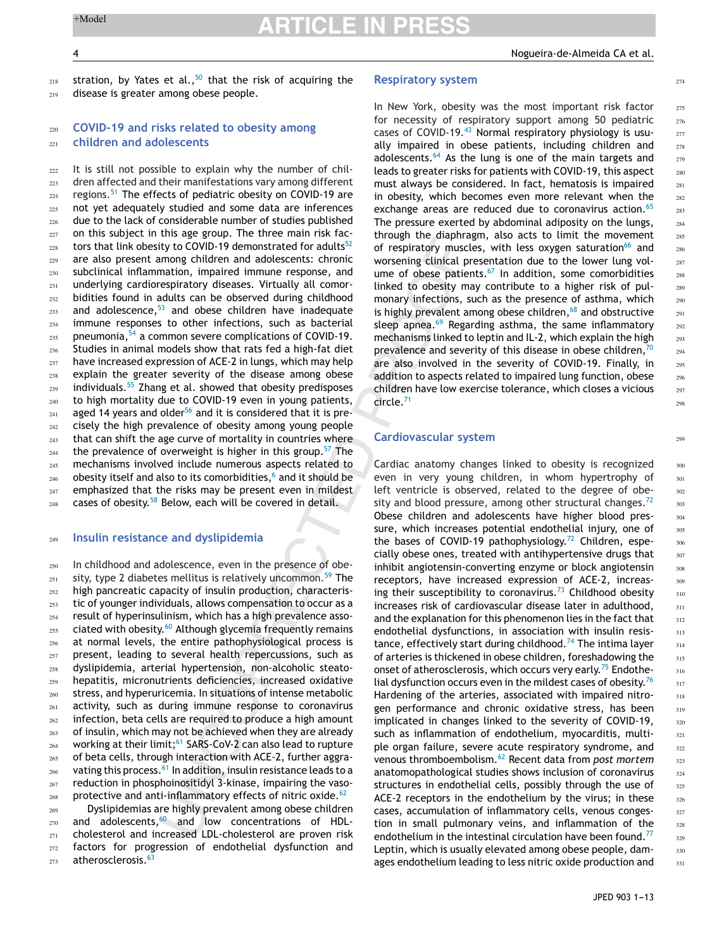274

299

stration, by Yates et al.,  $50$  that the risk of acquiring the disease is greater among obese people. 218  $219$ 

### **COVID-19 and risks related to obesity among children and adolescents**  $220$ 221

It is still not possible to explain why the number of children affected and their manifestations vary among different regions.<sup>[51](#page-9-0)</sup> The effects of pediatric obesity on COVID-19 are not yet adequately studied and some data are inferences due to the lack of considerable number of studies published on this subject in this age group. The three main risk fac-tors that link obesity to COVID-19 demonstrated for adults<sup>[52](#page-9-0)</sup> are also present among children and adolescents: chronic subclinical inflammation, impaired immune response, and underlying cardiorespiratory diseases. Virtually all comorbidities found in adults can be observed during childhood and adolescence, $53$  and obese children have inadequate immune responses to other infections, such as bacterial pneumonia,[54](#page-9-0) a common severe complications of COVID-19. Studies in animal models show that rats fed a high-fat diet have increased expression of ACE-2 in lungs, which may help explain the greater severity of the disease among obese individuals. $55$  Zhang et al. showed that obesity predisposes to high mortality due to COVID-19 even in young patients, aged 14 years and older<sup>[56](#page-9-0)</sup> and it is considered that it is precisely the high prevalence of obesity among young people that can shift the age curve of mortality in countries where the prevalence of overweight is higher in this group.<sup>[57](#page-9-0)</sup> The mechanisms involved include numerous aspects related to obesity itself [a](#page-8-0)nd also to its comorbidities,<sup>6</sup> and it should be emphasized that the risks may be present even in mildest cases of obesity.<sup>[58](#page-9-0)</sup> Below, each will be covered in detail. 222 223 224 225 226 227 228 229 230 <sup>231</sup>  $232$  $233$  $234$ 235 236 237 238 239 240 241 242 243 244 245 246  $247$ 248

#### **Insulin resistance and dyslipidemia** 249

In childhood and adolescence, even in the presence of obe-sity, type 2 diabetes mellitus is relatively uncommon.<sup>[59](#page-9-0)</sup> The high pancreatic capacity of insulin production, characteristic of younger individuals, allows compensation to occur as a result of hyperinsulinism, which has a high prevalence asso-ciated with obesity.<sup>[60](#page-9-0)</sup> Although glycemia frequently remains at normal levels, the entire pathophysiological process is present, leading to several health repercussions, such as dyslipidemia, arterial hypertension, non-alcoholic steatohepatitis, micronutrients deficiencies, increased oxidative stress, and hyperuricemia. In situations of intense metabolic activity, such as during immune response to coronavirus infection, beta cells are required to produce a high amount of insulin, which may not be achieved when they are already working at their limit;<sup>[61](#page-9-0)</sup> SARS-CoV-2 can also lead to rupture of beta cells, through interaction with ACE-2, further aggra-vating this process.<sup>[61](#page-9-0)</sup> In addition, insulin resistance leads to a reduction in phosphoinositidyl 3-kinase, impairing the vasoprotective and anti-inflammatory effects of nitric oxide. $62$ 250 251 252 253 254 255 256 257 258 259 260 261  $262$ 263 264 265 266 267 268

Dyslipidemias are highly prevalent among obese children and adolescents, $60$  and low concentrations of HDLcholesterol and increased LDL-cholesterol are proven risk factors for progression of endothelial dysfunction and atherosclerosis.<sup>[63](#page-9-0)</sup> 269 270 271 272 273

### **Respiratory system**

In New York, obesity was the most important risk factor for necessity of respiratory support among 50 pediatric cases of COVID-19.<sup>[43](#page-9-0)</sup> Normal respiratory physiology is usually impaired in obese patients, including children and adolescents.<sup>[64](#page-9-0)</sup> As the lung is one of the main targets and leads to greater risks for patients with COVID-19, this aspect must always be considered. In fact, hematosis is impaired in obesity, which becomes even more relevant when the exchange areas are reduced due to coronavirus action.<sup>[65](#page-9-0)</sup> The pressure exerted by abdominal adiposity on the lungs, through the diaphragm, also acts to limit the movement of respiratory muscles, with less oxygen saturation<sup>[66](#page-9-0)</sup> and worsening clinical presentation due to the lower lung volume of obese patients. $67$  In addition, some comorbidities linked to obesity may contribute to a higher risk of pulmonary infections, such as the presence of asthma, which is highly prevalent among obese children, $68$  and obstructive sleep apnea. $69$  Regarding asthma, the same inflammatory mechanisms linked to leptin and IL-2, which explain the high prevalence and severity of this disease in obese children,  $70$ are also involved in the severity of COVID-19. Finally, in addition to aspects related to impaired lung function, obese children have low exercise tolerance, which closes a vicious circle.[71](#page-9-0)

## **Cardiovascular system**

Cardiac anatomy changes linked to obesity is recognized even in very young children, in whom hypertrophy of left ventricle is observed, related to the degree of obe-sity and blood pressure, among other structural changes.<sup>[72](#page-9-0)</sup> Obese children and adolescents have higher blood pressure, which increases potential endothelial injury, one of the bases of COVID-19 pathophysiology.<sup>[72](#page-9-0)</sup> Children, especially obese ones, treated with antihypertensive drugs that inhibit angiotensin-converting enzyme or block angiotensin receptors, have increased expression of ACE-2, increas-ing their susceptibility to coronavirus.<sup>[73](#page-10-0)</sup> Childhood obesity increases risk of cardiovascular disease later in adulthood, and the explanation for this phenomenon lies in the fact that endothelial dysfunctions, in association with insulin resis-tance, effectively start during childhood.<sup>[74](#page-10-0)</sup> The intima layer of arteries is thickened in obese children, foreshadowing the onset of atherosclerosis, which occurs very early.<sup>[75](#page-10-0)</sup> Endothe-lial dysfunction occurs even in the mildest cases of obesity.<sup>[76](#page-10-0)</sup> Hardening of the arteries, associated with impaired nitrogen performance and chronic oxidative stress, has been implicated in changes linked to the severity of COVID-19, such as inflammation of endothelium, myocarditis, multiple organ failure, severe acute respiratory syndrome, and venous thromboembolism.[62](#page-9-0) Recent data from *post mortem* anatomopathological studies shows inclusion of coronavirus structures in endothelial cells, possibly through the use of ACE-2 receptors in the endothelium by the virus; in these cases, accumulation of inflammatory cells, venous congestion in small pulmonary veins, and inflammation of the endothelium in the intestinal circulation have been found.<sup>[77](#page-10-0)</sup> Leptin, which is usually elevated among obese people, damages endothelium leading to less nitric oxide production and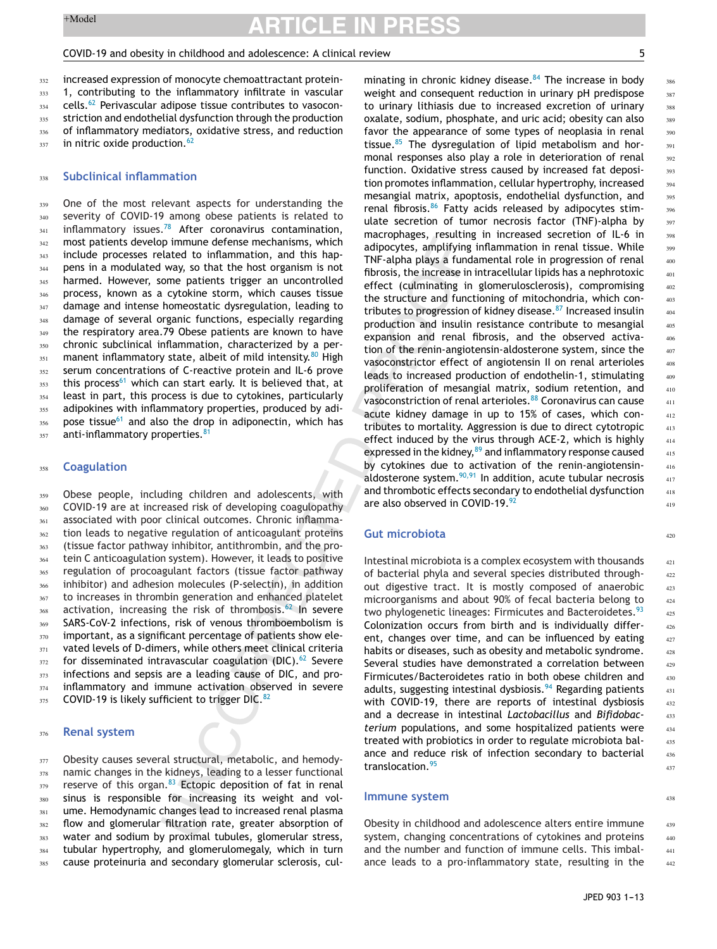### COVID-19 and obesity in childhood and adolescence: A clinical review 5

increased expression of monocyte chemoattractant protein-1, contributing to the inflammatory infiltrate in vascular cells.<sup>[62](#page-9-0)</sup> Perivascular adipose tissue contributes to vasoconstriction and endothelial dysfunction through the production of inflammatory mediators, oxidative stress, and reduction in nitric oxide production. $62$ 332 333 334 335 336 337

#### **Subclinical inflammation** 338

One of the most relevant aspects for understanding the severity of COVID-19 among obese patients is related to inflammatory issues.<sup>[78](#page-10-0)</sup> After coronavirus contamination, most patients develop immune defense mechanisms, which include processes related to inflammation, and this happens in a modulated way, so that the host organism is not harmed. However, some patients trigger an uncontrolled process, known as a cytokine storm, which causes tissue damage and intense homeostatic dysregulation, leading to damage of several organic functions, especially regarding the respiratory area.79 Obese patients are known to have chronic subclinical inflammation, characterized by a per-manent inflammatory state, albeit of mild intensity.<sup>[80](#page-10-0)</sup> High serum concentrations of C-reactive protein and IL-6 prove this process<sup>[61](#page-9-0)</sup> which can start early. It is believed that, at least in part, this process is due to cytokines, particularly adipokines with inflammatory properties, produced by adi-pose tissue<sup>[61](#page-9-0)</sup> and also the drop in adiponectin, which has anti-inflammatory properties.<sup>[81](#page-10-0)</sup> 339 340 341 342 343 344 345 346 347 348 349 350 351 352 353 354 355 356 357

#### **Coagulation** 358

Obese people, including children and adolescents, with COVID-19 are at increased risk of developing coagulopathy associated with poor clinical outcomes. Chronic inflammation leads to negative regulation of anticoagulant proteins (tissue factor pathway inhibitor, antithrombin, and the protein C anticoagulation system). However, it leads to positive regulation of procoagulant factors (tissue factor pathway inhibitor) and adhesion molecules (P-selectin), in addition to increases in thrombin generation and enhanced platelet activation, increasing the risk of thrombosis.<sup>[62](#page-9-0)</sup> In severe SARS-CoV-2 infections, risk of venous thromboembolism is important, as a significant percentage of patients show elevated levels of D-dimers, while others meet clinical criteria for disseminated intravascular coagulation (DIC). $62$  Severe infections and sepsis are a leading cause of DIC, and proinflammatory and immune activation observed in severe COVID-19 is likely sufficient to trigger DIC. $82$ 350 360 361 362 363 364 365 366 367 368 369 370 371 372 373 374 375

#### **Renal system** 376

Obesity causes several structural, metabolic, and hemodynamic changes in the kidneys, leading to a lesser functional reserve of this organ.<sup>[83](#page-10-0)</sup> Ectopic deposition of fat in renal sinus is responsible for increasing its weight and volume. Hemodynamic changes lead to increased renal plasma flow and glomerular filtration rate, greater absorption of water and sodium by proximal tubules, glomerular stress, tubular hypertrophy, and glomerulomegaly, which in turn cause proteinuria and secondary glomerular sclerosis, cul-377 378 379 380 381 382 383 384 385

 $420$ 

438

minating in chronic kidney disease. $84$  The increase in body weight and consequent reduction in urinary pH predispose to urinary lithiasis due to increased excretion of urinary oxalate, sodium, phosphate, and uric acid; obesity can also favor the appearance of some types of neoplasia in renal tissue. $85$  The dysregulation of lipid metabolism and hormonal responses also play a role in deterioration of renal function. Oxidative stress caused by increased fat deposition promotes inflammation, cellular hypertrophy, increased mesangial matrix, apoptosis, endothelial dysfunction, and renal fibrosis.<sup>[86](#page-10-0)</sup> Fatty acids released by adipocytes stimulate secretion of tumor necrosis factor (TNF)-alpha by macrophages, resulting in increased secretion of IL-6 in adipocytes, amplifying inflammation in renal tissue. While TNF-alpha plays a fundamental role in progression of renal fibrosis, the increase in intracellular lipids has a nephrotoxic effect (culminating in glomerulosclerosis), compromising the structure and functioning of mitochondria, which con-tributes to progression of kidney disease.<sup>[87](#page-10-0)</sup> Increased insulin production and insulin resistance contribute to mesangial expansion and renal fibrosis, and the observed activation of the renin-angiotensin-aldosterone system, since the vasoconstrictor effect of angiotensin II on renal arterioles leads to increased production of endothelin-1, stimulating proliferation of mesangial matrix, sodium retention, and vasoconstriction of renal arterioles.<sup>[88](#page-10-0)</sup> Coronavirus can cause acute kidney damage in up to 15% of cases, which contributes to mortality. Aggression is due to direct cytotropic effect induced by the virus through ACE-2, which is highly expressed in the kidney, $89$  and inflammatory response caused by cytokines due to activation of the renin-angiotensinaldosterone system.[90,91](#page-10-0) In addition, acute tubular necrosis and thrombotic effects secondary to endothelial dysfunction are also observed in COVID-19.[92](#page-10-0)

## **Gut microbiota**

Intestinal microbiota is a complex ecosystem with thousands of bacterial phyla and several species distributed throughout digestive tract. It is mostly composed of anaerobic microorganisms and about 90% of fecal bacteria belong to two phylogenetic lineages: Firmicutes and Bacteroidetes.<sup>[93](#page-10-0)</sup> Colonization occurs from birth and is individually different, changes over time, and can be influenced by eating habits or diseases, such as obesity and metabolic syndrome. Several studies have demonstrated a correlation between Firmicutes/Bacteroidetes ratio in both obese children and adults, suggesting intestinal dysbiosis.<sup>[94](#page-10-0)</sup> Regarding patients with COVID-19, there are reports of intestinal dysbiosis and a decrease in intestinal *Lactobacillus* and *Bifidobacterium* populations, and some hospitalized patients were treated with probiotics in order to regulate microbiota balance and reduce risk of infection secondary to bacterial translocation.<sup>[95](#page-10-0)</sup>

### **Immune system**

Obesity in childhood and adolescence alters entire immune system, changing concentrations of cytokines and proteins and the number and function of immune cells. This imbalance leads to a pro-inflammatory state, resulting in the 439 440 441 442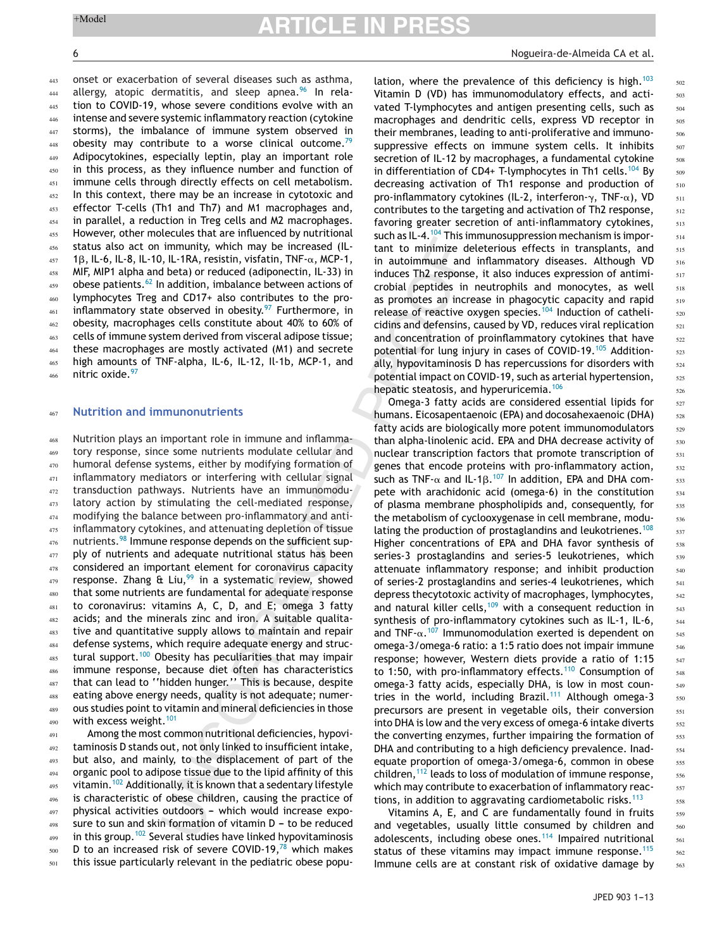onset or exacerbation of several diseases such as asthma, allergy, atopic dermatitis, and sleep apnea. $96$  In relation to COVID-19, whose severe conditions evolve with an intense and severe systemic inflammatory reaction (cytokine storms), the imbalance of immune system observed in obesity may contribute to a worse clinical outcome.<sup>[79](#page-10-0)</sup> Adipocytokines, especially leptin, play an important role in this process, as they influence number and function of immune cells through directly effects on cell metabolism. In this context, there may be an increase in cytotoxic and effector T-cells (Th1 and Th7) and M1 macrophages and, in parallel, a reduction in Treg cells and M2 macrophages. However, other molecules that are influenced by nutritional status also act on immunity, which may be increased (IL-1 $\beta$ , IL-6, IL-8, IL-10, IL-1RA, resistin, visfatin, TNF- $\alpha$ , MCP-1,

MIF, MIP1 alpha and beta) or reduced (adiponectin, IL-33) in obese patients. $62$  In addition, imbalance between actions of lymphocytes Treg and CD17+ also contributes to the proinflammatory state observed in obesity. $97$  Furthermore, in obesity, macrophages cells constitute about 40% to 60% of cells of immune system derived from visceral adipose tissue; these macrophages are mostly activated (M1) and secrete high amounts of TNF-alpha, IL-6, IL-12, Il-1b, MCP-1, and nitric oxide. [97](#page-10-0) 458 459 460 461 462 463 464 465 466

#### **Nutrition and immunonutrients** 467

Nutrition plays an important role in immune and inflammatory response, since some nutrients modulate cellular and humoral defense systems, either by modifying formation of inflammatory mediators or interfering with cellular signal transduction pathways. Nutrients have an immunomodulatory action by stimulating the cell-mediated response, modifying the balance between pro-inflammatory and antiinflammatory cytokines, and attenuating depletion of tissue nutrients.<sup>[98](#page-10-0)</sup> Immune response depends on the sufficient supply of nutrients and adequate nutritional status has been considered an important element for coronavirus capacity response. Zhang & Liu,  $99$  in a systematic review, showed that some nutrients are fundamental for adequate response to coronavirus: vitamins A, C, D, and E; omega 3 fatty acids; and the minerals zinc and iron. A suitable qualitative and quantitative supply allows to maintain and repair defense systems, which require adequate energy and struc-tural support.<sup>[100](#page-10-0)</sup> Obesity has peculiarities that may impair immune response, because diet often has characteristics that can lead to ''hidden hunger.'' This is because, despite eating above energy needs, quality is not adequate; numerous studies point to vitamin and mineral deficiencies in those with excess weight.<sup>[101](#page-10-0)</sup> 468 469 470 471 472 473 474 475 476 477 478 479 480 481 482 483 484 485 486 487 488 489 490

Among the most common nutritional deficiencies, hypovitaminosis D stands out, not only linked to insufficient intake, but also, and mainly, to the displacement of part of the organic pool to adipose tissue due to the lipid affinity of this vitamin.<sup>[102](#page-10-0)</sup> Additionally, it is known that a sedentary lifestyle is characteristic of obese children, causing the practice of physical activities outdoors - which would increase exposure to sun and skin formation of vitamin  $D -$  to be reduced in this group.<sup>[102](#page-10-0)</sup> Several studies have linked hypovitaminosis D to an increased risk of severe COVID-19, $^{78}$  $^{78}$  $^{78}$  which makes this issue particularly relevant in the pediatric obese popu-491 492 493 494 495 496 497 498 499 500 501

### 6 Nogueira-de-Almeida CA et al.

lation, where the prevalence of this deficiency is high.<sup>[103](#page-10-0)</sup> Vitamin D (VD) has immunomodulatory effects, and activated T-lymphocytes and antigen presenting cells, such as macrophages and dendritic cells, express VD receptor in their membranes, leading to anti-proliferative and immunosuppressive effects on immune system cells. It inhibits secretion of IL-12 by macrophages, a fundamental cytokine in differentiation of CD4+ T-lymphocytes in Th1 cells.<sup>[104](#page-10-0)</sup> By decreasing activation of Th1 response and production of pro-inflammatory cytokines (IL-2, interferon- $\gamma$ , TNF- $\alpha$ ), VD contributes to the targeting and activation of Th2 response, favoring greater secretion of anti-inflammatory cytokines, such as IL-4.[104](#page-10-0) This immunosuppression mechanism is important to minimize deleterious effects in transplants, and in autoimmune and inflammatory diseases. Although VD induces Th2 response, it also induces expression of antimicrobial peptides in neutrophils and monocytes, as well as promotes an increase in phagocytic capacity and rapid release of reactive oxygen species.<sup>[104](#page-10-0)</sup> Induction of cathelicidins and defensins, caused by VD, reduces viral replication and concentration of proinflammatory cytokines that have potential for lung injury in cases of COVID-19.<sup>[105](#page-10-0)</sup> Additionally, hypovitaminosis D has repercussions for disorders with potential impact on COVID-19, such as arterial hypertension, hepatic steatosis, and hyperuricemia.<sup>[106](#page-10-0)</sup>

Omega-3 fatty acids are considered essential lipids for humans. Eicosapentaenoic (EPA) and docosahexaenoic (DHA) fatty acids are biologically more potent immunomodulators than alpha-linolenic acid. EPA and DHA decrease activity of nuclear transcription factors that promote transcription of genes that encode proteins with pro-inflammatory action, such as TNF- $\alpha$  and IL-1 $\beta$ .<sup>107</sup> In addition, EPA and DHA compete with arachidonic acid (omega-6) in the constitution of plasma membrane phospholipids and, consequently, for the metabolism of cyclooxygenase in cell membrane, modu-lating the production of prostaglandins and leukotrienes.<sup>[108](#page-10-0)</sup> Higher concentrations of EPA and DHA favor synthesis of series-3 prostaglandins and series-5 leukotrienes, which attenuate inflammatory response; and inhibit production of series-2 prostaglandins and series-4 leukotrienes, which depress thecytotoxic activity of macrophages, lymphocytes, and natural killer cells,  $109$  with a consequent reduction in synthesis of pro-inflammatory cytokines such as IL-1, IL-6, and TNF- $\alpha$ .<sup>107</sup> Immunomodulation exerted is dependent on omega-3/omega-6 ratio: a 1:5 ratio does not impair immune response; however, Western diets provide a ratio of 1:15 to 1:50, with pro-inflammatory effects.<sup>[110](#page-10-0)</sup> Consumption of omega-3 fatty acids, especially DHA, is low in most coun-tries in the world, including Brazil.<sup>[111](#page-10-0)</sup> Although omega-3 precursors are present in vegetable oils, their conversion into DHA is low and the very excess of omega-6 intake diverts the converting enzymes, further impairing the formation of DHA and contributing to a high deficiency prevalence. Inadequate proportion of omega-3/omega-6, common in obese children,  $112$  leads to loss of modulation of immune response, which may contribute to exacerbation of inflammatory reac-tions, in addition to aggravating cardiometabolic risks.<sup>[113](#page-10-0)</sup>

Vitamins A, E, and C are fundamentally found in fruits and vegetables, usually little consumed by children and adolescents, including obese ones.<sup>[114](#page-11-0)</sup> Impaired nutritional status of these vitamins may impact immune response.<sup>[115](#page-11-0)</sup> Immune cells are at constant risk of oxidative damage by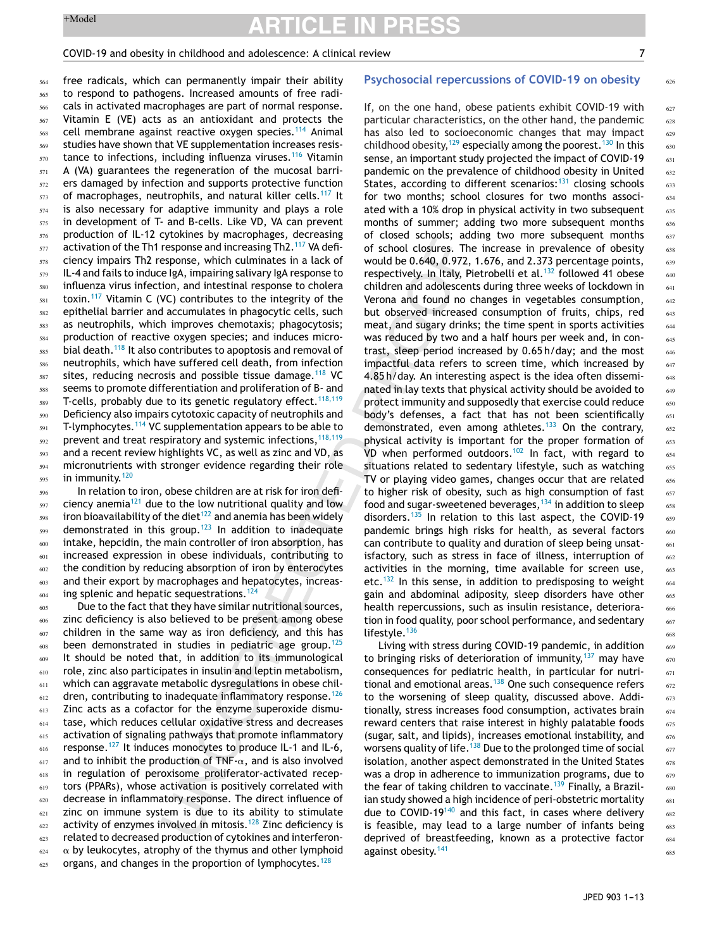# COVID-19 and obesity in childhood and adolescence: A clinical review 7

626

free radicals, which can permanently impair their ability to respond to pathogens. Increased amounts of free radicals in activated macrophages are part of normal response. Vitamin E (VE) acts as an antioxidant and protects the cell membrane against reactive oxygen species.<sup>[114](#page-11-0)</sup> Animal studies have shown that VE supplementation increases resis-tance to infections, including influenza viruses.<sup>[116](#page-11-0)</sup> Vitamin A (VA) guarantees the regeneration of the mucosal barriers damaged by infection and supports protective function of macrophages, neutrophils, and natural killer cells.<sup>[117](#page-11-0)</sup> It is also necessary for adaptive immunity and plays a role in development of T- and B-cells. Like VD, VA can prevent production of IL-12 cytokines by macrophages, decreasing activation of the Th1 response and increasing Th2.<sup>[117](#page-11-0)</sup> VA deficiency impairs Th2 response, which culminates in a lack of IL-4 and fails to induce IgA, impairing salivary IgA response to influenza virus infection, and intestinal response to cholera toxin.<sup>[117](#page-11-0)</sup> Vitamin C (VC) contributes to the integrity of the epithelial barrier and accumulates in phagocytic cells, such as neutrophils, which improves chemotaxis; phagocytosis; production of reactive oxygen species; and induces micro-bial death.<sup>[118](#page-11-0)</sup> It also contributes to apoptosis and removal of neutrophils, which have suffered cell death, from infection sites, reducing necrosis and possible tissue damage.<sup>[118](#page-11-0)</sup> VC seems to promote differentiation and proliferation of B- and T-cells, probably due to its genetic regulatory effect.<sup>[118,119](#page-11-0)</sup> Deficiency also impairs cytotoxic capacity of neutrophils and T-lymphocytes.<sup>[114](#page-11-0)</sup> VC supplementation appears to be able to prevent and treat respiratory and systemic infections,  $118,119$ and a recent review highlights VC, as well as zinc and VD, as micronutrients with stronger evidence regarding their role in immunity.<sup>[120](#page-11-0)</sup> 564 565 566 567 568 569 570 571 572 573 574 575 576 577 578 579 580 581 582 583 584 585 586 587 588 589 590 591 592 593 594 595

In relation to iron, obese children are at risk for iron defi-ciency anemia<sup>[121](#page-11-0)</sup> due to the low nutritional quality and low iron bioavailability of the diet $122$  and anemia has been widely demonstrated in this group.<sup>[123](#page-11-0)</sup> In addition to inadequate intake, hepcidin, the main controller of iron absorption, has increased expression in obese individuals, contributing to the condition by reducing absorption of iron by enterocytes and their export by macrophages and hepatocytes, increas-ing splenic and hepatic sequestrations.<sup>[124](#page-11-0)</sup> 596 597 598 599 600 601 602 603 604

Due to the fact that they have similar nutritional sources, zinc deficiency is also believed to be present among obese children in the same way as iron deficiency, and this has been demonstrated in studies in pediatric age group.<sup>[125](#page-11-0)</sup> It should be noted that, in addition to its immunological role, zinc also participates in insulin and leptin metabolism, which can aggravate metabolic dysregulations in obese chil-dren, contributing to inadequate inflammatory response.<sup>[126](#page-11-0)</sup> Zinc acts as a cofactor for the enzyme superoxide dismutase, which reduces cellular oxidative stress and decreases activation of signaling pathways that promote inflammatory response.<sup>[127](#page-11-0)</sup> It induces monocytes to produce IL-1 and IL-6, and to inhibit the production of TNF- $\alpha$ , and is also involved in regulation of peroxisome proliferator-activated receptors (PPARs), whose activation is positively correlated with decrease in inflammatory response. The direct influence of zinc on immune system is due to its ability to stimulate activity of enzymes involved in mitosis.<sup>[128](#page-11-0)</sup> Zinc deficiency is related to decreased production of cytokines and interferon-  $\alpha$  by leukocytes, atrophy of the thymus and other lymphoid organs, and changes in the proportion of lymphocytes.<sup>[128](#page-11-0)</sup> 605 606 607 608 609 610 611 612 613 614 615 616 617 618 619 620 621 622 623 624 625

# **Psychosocial repercussions of COVID-19 on obesity**

If, on the one hand, obese patients exhibit COVID-19 with particular characteristics, on the other hand, the pandemic has also led to socioeconomic changes that may impact childhood obesity,[129](#page-11-0) especially among the poorest.[130](#page-11-0) In this sense, an important study projected the impact of COVID-19 pandemic on the prevalence of childhood obesity in United States, according to different scenarios: $131$  closing schools for two months; school closures for two months associated with a 10% drop in physical activity in two subsequent months of summer; adding two more subsequent months of closed schools; adding two more subsequent months of school closures. The increase in prevalence of obesity would be 0.640, 0.972, 1.676, and 2.373 percentage points, respectively. In Italy, Pietrobelli et al.<sup>[132](#page-11-0)</sup> followed 41 obese children and adolescents during three weeks of lockdown in Verona and found no changes in vegetables consumption, but observed increased consumption of fruits, chips, red meat, and sugary drinks; the time spent in sports activities was reduced by two and a half hours per week and, in contrast, sleep period increased by 0.65 h/day; and the most impactful data refers to screen time, which increased by 4.85 h/day. An interesting aspect is the idea often disseminated in lay texts that physical activity should be avoided to protect immunity and supposedly that exercise could reduce body's defenses, a fact that has not been scientifically demonstrated, even among athletes.<sup>[133](#page-11-0)</sup> On the contrary, physical activity is important for the proper formation of VD when performed outdoors.<sup>[102](#page-10-0)</sup> In fact, with regard to situations related to sedentary lifestyle, such as watching TV or playing video games, changes occur that are related to higher risk of obesity, such as high consumption of fast food and sugar-sweetened beverages,  $134$  in addition to sleep disorders.<sup>[135](#page-11-0)</sup> In relation to this last aspect, the COVID-19 pandemic brings high risks for health, as several factors can contribute to quality and duration of sleep being unsatisfactory, such as stress in face of illness, interruption of activities in the morning, time available for screen use, etc.<sup>[132](#page-11-0)</sup> In this sense, in addition to predisposing to weight gain and abdominal adiposity, sleep disorders have other health repercussions, such as insulin resistance, deterioration in food quality, poor school performance, and sedentary lifestyle.<sup>[136](#page-11-0)</sup>

Living with stress during COVID-19 pandemic, in addition to bringing risks of deterioration of immunity,  $137$  may have consequences for pediatric health, in particular for nutritional and emotional areas. $138$  One such consequence refers to the worsening of sleep quality, discussed above. Additionally, stress increases food consumption, activates brain reward centers that raise interest in highly palatable foods (sugar, salt, and lipids), increases emotional instability, and worsens quality of life.<sup>[138](#page-11-0)</sup> Due to the prolonged time of social isolation, another aspect demonstrated in the United States was a drop in adherence to immunization programs, due to the fear of taking children to vaccinate.<sup>[139](#page-11-0)</sup> Finally, a Brazilian study showed a high incidence of peri-obstetric mortality due to COVID-19<sup>[140](#page-11-0)</sup> and this fact, in cases where delivery is feasible, may lead to a large number of infants being deprived of breastfeeding, known as a protective factor against obesity.[141](#page-11-0)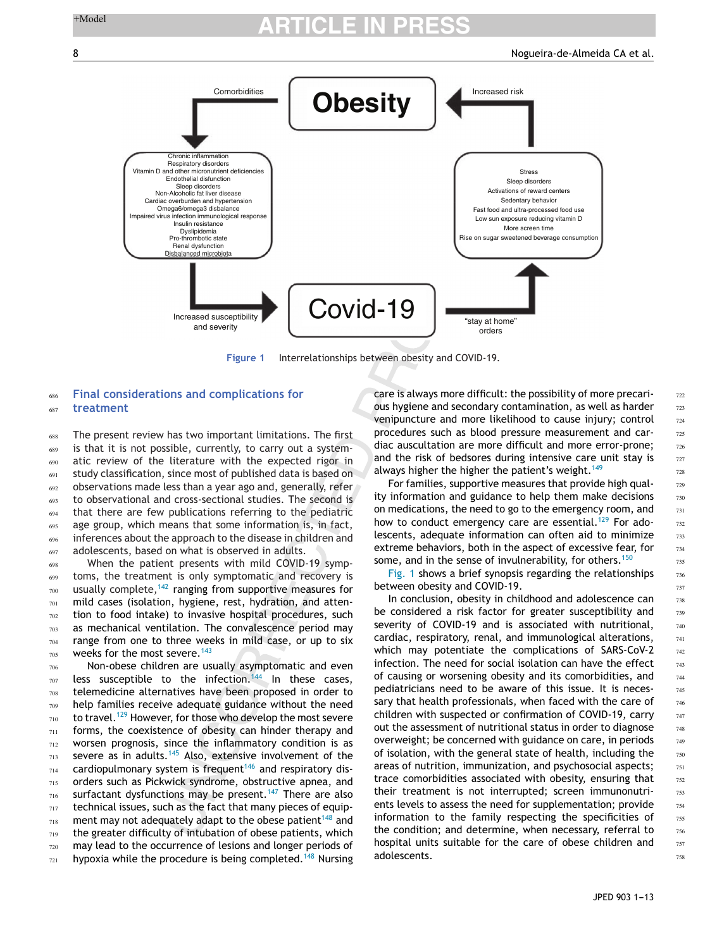

**Figure 1** Interrelationships between obesity and COVID-19.

#### **Final considerations and complications for treatment** 686 687

The present review has two important limitations. The first is that it is not possible, currently, to carry out a systematic review of the literature with the expected rigor in study classification, since most of published data is based on observations made less than a year ago and, generally, refer to observational and cross-sectional studies. The second is that there are few publications referring to the pediatric age group, which means that some information is, in fact, inferences about the approach to the disease in children and adolescents, based on what is observed in adults. 688 689 690 691 692 693 694 695 696 697

When the patient presents with mild COVID-19 symptoms, the treatment is only symptomatic and recovery is usually complete, $142$  ranging from supportive measures for mild cases (isolation, hygiene, rest, hydration, and attention to food intake) to invasive hospital procedures, such as mechanical ventilation. The convalescence period may range from one to three weeks in mild case, or up to six weeks for the most severe.<sup>[143](#page-11-0)</sup> 698 699 700 701 702 703 704 705

Non-obese children are usually asymptomatic and even less susceptible to the infection.<sup>[144](#page-11-0)</sup> In these cases, telemedicine alternatives have been proposed in order to help families receive adequate guidance without the need to travel.<sup>[129](#page-11-0)</sup> However, for those who develop the most severe forms, the coexistence of obesity can hinder therapy and worsen prognosis, since the inflammatory condition is as severe as in adults. $145$  Also, extensive involvement of the cardiopulmonary system is frequent<sup>[146](#page-11-0)</sup> and respiratory disorders such as Pickwick syndrome, obstructive apnea, and surfactant dysfunctions may be present.<sup>[147](#page-11-0)</sup> There are also technical issues, such as the fact that many pieces of equip-ment may not adequately adapt to the obese patient<sup>[148](#page-11-0)</sup> and the greater difficulty of intubation of obese patients, which may lead to the occurrence of lesions and longer periods of hypoxia while the procedure is being completed.<sup>[148](#page-11-0)</sup> Nursing 706 707 708 709 710 711 712 713 714 715 716 717 718 719 720 721

care is always more difficult: the possibility of more precarious hygiene and secondary contamination, as well as harder venipuncture and more likelihood to cause injury; control procedures such as blood pressure measurement and cardiac auscultation are more difficult and more error-prone; and the risk of bedsores during intensive care unit stay is always higher the higher the patient's weight.<sup>[149](#page-11-0)</sup>

For families, supportive measures that provide high quality information and guidance to help them make decisions on medications, the need to go to the emergency room, and how to conduct emergency care are essential.<sup>[129](#page-11-0)</sup> For adolescents, adequate information can often aid to minimize extreme behaviors, both in the aspect of excessive fear, for some, and in the sense of invulnerability, for others.<sup>[150](#page-12-0)</sup>

Fig. 1 shows a brief synopsis regarding the relationships between obesity and COVID-19.

In conclusion, obesity in childhood and adolescence can be considered a risk factor for greater susceptibility and severity of COVID-19 and is associated with nutritional, cardiac, respiratory, renal, and immunological alterations, which may potentiate the complications of SARS-CoV-2 infection. The need for social isolation can have the effect of causing or worsening obesity and its comorbidities, and pediatricians need to be aware of this issue. It is necessary that health professionals, when faced with the care of children with suspected or confirmation of COVID-19, carry out the assessment of nutritional status in order to diagnose overweight; be concerned with guidance on care, in periods of isolation, with the general state of health, including the areas of nutrition, immunization, and psychosocial aspects; trace comorbidities associated with obesity, ensuring that their treatment is not interrupted; screen immunonutrients levels to assess the need for supplementation; provide information to the family respecting the specificities of the condition; and determine, when necessary, referral to hospital units suitable for the care of obese children and adolescents.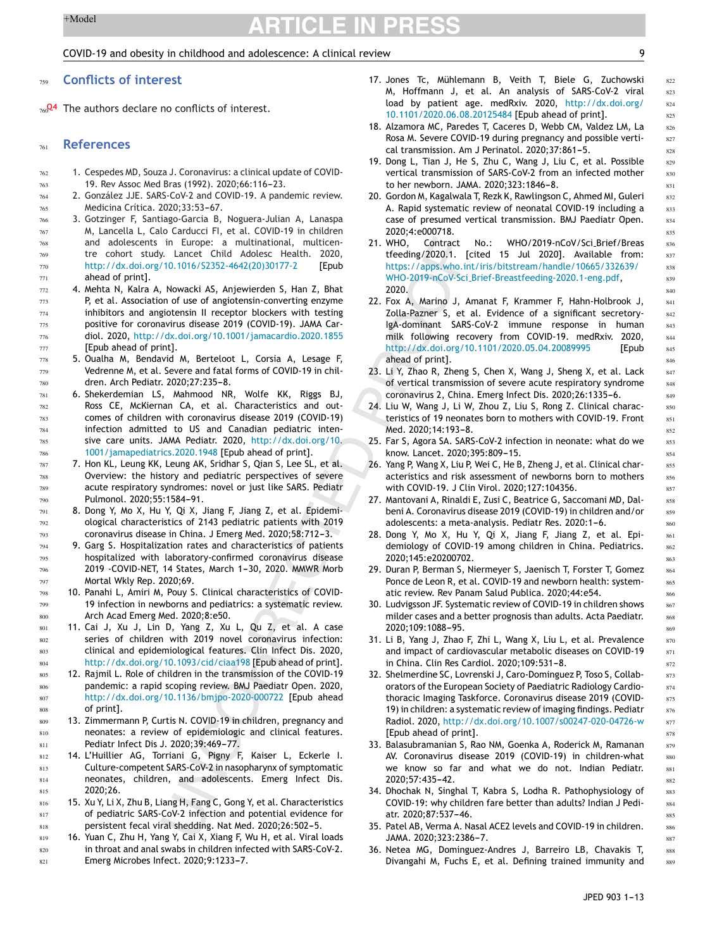### <span id="page-8-0"></span>COVID-19 and obesity in childhood and adolescence: A clinical review 9

### **Conflicts of interest** 759

The authors declare no conflicts of interest.  $760^{24}$ 

#### **References** 761

813

- 1. Cespedes MD, Souza J. Coronavirus: a clinical update of COVID-19. Rev Assoc Med Bras (1992). 2020:66:116-23. 762 763
- 2. González JJE. SARS-CoV-2 and COVID-19. A pandemic review. Medicina Crítica. 2020;33:53-67. 764 765
- 3. Gotzinger F, Santiago-Garcia B, Noguera-Julian A, Lanaspa M, Lancella L, Calo Carducci FI, et al. COVID-19 in children and adolescents in Europe: a multinational, multicentre cohort study. Lancet Child Adolesc Health. 2020, [http://dx.doi.org/10.1016/S2352-4642\(20\)30177-2](dx.doi.org/10.1016/S2352-4642(20)30177-2) [Epub ahead of print]. 766 767 768 769 770 771
	- 4. Mehta N, Kalra A, Nowacki AS, Anjewierden S, Han Z, Bhat P, et al. Association of use of angiotensin-converting enzyme inhibitors and angiotensin II receptor blockers with testing positive for coronavirus disease 2019 (COVID-19). JAMA Cardiol. 2020, [http://dx.doi.org/10.1001/jamacardio.2020.1855](dx.doi.org/10.1001/jamacardio.2020.1855) [Epub ahead of print].
	- 5. Oualha M, Bendavid M, Berteloot L, Corsia A, Lesage F, Vedrenne M, et al. Severe and fatal forms of COVID-19 in children. Arch Pediatr. 2020:27:235-8.
	- 6. Shekerdemian LS, Mahmood NR, Wolfe KK, Riggs BJ, Ross CE, McKiernan CA, et al. Characteristics and outcomes of children with coronavirus disease 2019 (COVID-19) infection admitted to US and Canadian pediatric intensive care units. JAMA Pediatr. 2020, [http://dx.doi.org/10.](dx.doi.org/10.1001/jamapediatrics.2020.1948) [1001/jamapediatrics.2020.1948](dx.doi.org/10.1001/jamapediatrics.2020.1948) [Epub ahead of print].
	- 7. Hon KL, Leung KK, Leung AK, Sridhar S, Qian S, Lee SL, et al. Overview: the history and pediatric perspectives of severe acute respiratory syndromes: novel or just like SARS. Pediatr Pulmonol. 2020;55:1584-91.
	- 8. Dong Y, Mo X, Hu Y, Qi X, Jiang F, Jiang Z, et al. Epidemiological characteristics of 2143 pediatric patients with 2019 coronavirus disease in China. J Emerg Med. 2020;58:712-3.
	- 9. Garg S. Hospitalization rates and characteristics of patients hospitalized with laboratory-confirmed coronavirus disease 2019 -COVID-NET, 14 States, March 1-30, 2020. MMWR Morb Mortal Wkly Rep. 2020;69.
	- 10. Panahi L, Amiri M, Pouy S. Clinical characteristics of COVID-19 infection in newborns and pediatrics: a systematic review. Arch Acad Emerg Med. 2020;8:e50.
	- 11. Cai J, Xu J, Lin D, Yang Z, Xu L, Qu Z, et al. A case series of children with 2019 novel coronavirus infection: clinical and epidemiological features. Clin Infect Dis. 2020, [http://dx.doi.org/10.1093/cid/ciaa198](dx.doi.org/10.1093/cid/ciaa198) [Epub ahead of print].
	- 12. Rajmil L. Role of children in the transmission of the COVID-19 pandemic: a rapid scoping review. BMJ Paediatr Open. 2020, [http://dx.doi.org/10.1136/bmjpo-2020-000722](dx.doi.org/10.1136/bmjpo-2020-000722) [Epub ahead of print].
	- 13. Zimmermann P, Curtis N. COVID-19 in children, pregnancy and neonates: a review of epidemiologic and clinical features. Pediatr Infect Dis J. 2020;39:469-77.
- 14. L'Huillier AG, Torriani G, Pigny F, Kaiser L, Eckerle I. Culture-competent SARS-CoV-2 in nasopharynx of symptomatic neonates, children, and adolescents. Emerg Infect Dis. 2020;26. 812 814 815
- 15. Xu Y, Li X, Zhu B, Liang H, Fang C, Gong Y, et al. Characteristics of pediatric SARS-CoV-2 infection and potential evidence for persistent fecal viral shedding. Nat Med. 2020;26:502-5. 816 817 818
- 16. Yuan C, Zhu H, Yang Y, Cai X, Xiang F, Wu H, et al. Viral loads in throat and anal swabs in children infected with SARS-CoV-2. Emerg Microbes Infect. 2020;9:1233-7. 819 820 821
- 17. Jones Tc, Mühlemann B, Veith T, Biele G, Zuchowski M, Hoffmann J, et al. An analysis of SARS-CoV-2 viral load by patient age. medRxiv. 2020, [http://dx.doi.org/](dx.doi.org/10.1101/2020.06.08.20125484) [10.1101/2020.06.08.20125484](dx.doi.org/10.1101/2020.06.08.20125484) [Epub ahead of print].
- 18. Alzamora MC, Paredes T, Caceres D, Webb CM, Valdez LM, La Rosa M. Severe COVID-19 during pregnancy and possible vertical transmission. Am J Perinatol. 2020;37:861-5.
- 19. Dong L, Tian J, He S, Zhu C, Wang J, Liu C, et al. Possible vertical transmission of SARS-CoV-2 from an infected mother to her newborn. JAMA. 2020;323:1846-8.
- 20. Gordon M, Kagalwala T, Rezk K, Rawlingson C, Ahmed MI, Guleri A. Rapid systematic review of neonatal COVID-19 including a case of presumed vertical transmission. BMJ Paediatr Open. 2020;4:e000718.
- 21. WHO, Contract No.: WHO/2019-nCoV/Sci Brief/Breas tfeeding/2020.1. [cited 15 Jul 2020]. Available from: [https://apps.who.int/iris/bitstream/handle/10665/332639/](https://apps.who.int/iris/bitstream/handle/10665/332639/WHO-2019-nCoV-Sci_Brief-Breastfeeding-2020.1-eng.pdf) WHO-2019-nCoV-Sci [Brief-Breastfeeding-2020.1-eng.pdf,](https://apps.who.int/iris/bitstream/handle/10665/332639/WHO-2019-nCoV-Sci_Brief-Breastfeeding-2020.1-eng.pdf) 2020.
- 22. Fox A, Marino J, Amanat F, Krammer F, Hahn-Holbrook J, Zolla-Pazner S, et al. Evidence of a significant secretory-IgA-dominant SARS-CoV-2 immune response in human milk following recovery from COVID-19. medRxiv. 2020, [http://dx.doi.org/10.1101/2020.05.04.20089995](dx.doi.org/10.1101/2020.05.04.20089995) [Epub ahead of print].
- 23. Li Y, Zhao R, Zheng S, Chen X, Wang J, Sheng X, et al. Lack of vertical transmission of severe acute respiratory syndrome coronavirus 2, China. Emerg Infect Dis. 2020;26:1335-6.
- 24. Liu W, Wang J, Li W, Zhou Z, Liu S, Rong Z. Clinical characteristics of 19 neonates born to mothers with COVID-19. Front Med. 2020;14:193-8.
- 25. Far S, Agora SA. SARS-CoV-2 infection in neonate: what do we know. Lancet. 2020;395:809-15.
- 26. Yang P, Wang X, Liu P, Wei C, He B, Zheng J, et al. Clinical characteristics and risk assessment of newborns born to mothers with COVID-19. J Clin Virol. 2020;127:104356.
- 27. Mantovani A, Rinaldi E, Zusi C, Beatrice G, Saccomani MD, Dalbeni A. Coronavirus disease 2019 (COVID-19) in children and/or adolescents: a meta-analysis. Pediatr Res. 2020:1-6.
- 28. Dong Y, Mo X, Hu Y, Qi X, Jiang F, Jiang Z, et al. Epidemiology of COVID-19 among children in China. Pediatrics. 2020;145:e20200702.
- 29. Duran P, Berman S, Niermeyer S, Jaenisch T, Forster T, Gomez Ponce de Leon R, et al. COVID-19 and newborn health: systematic review. Rev Panam Salud Publica. 2020;44:e54.
- 30. Ludvigsson JF. Systematic review of COVID-19 in children shows milder cases and a better prognosis than adults. Acta Paediatr. 2020;109:1088-95.
- 31. Li B, Yang J, Zhao F, Zhi L, Wang X, Liu L, et al. Prevalence and impact of cardiovascular metabolic diseases on COVID-19 in China. Clin Res Cardiol. 2020;109:531-8.
- 32. Shelmerdine SC, Lovrenski J, Caro-Dominguez P, Toso S, Collaborators of the European Society of Paediatric Radiology Cardiothoracic Imaging Taskforce. Coronavirus disease 2019 (COVID-19) in children: a systematic review of imaging findings. Pediatr Radiol. 2020, [http://dx.doi.org/10.1007/s00247-020-04726-w](dx.doi.org/10.1007/s00247-020-04726-w) [Epub ahead of print].
- 33. Balasubramanian S, Rao NM, Goenka A, Roderick M, Ramanan AV. Coronavirus disease 2019 (COVID-19) in children-what we know so far and what we do not. Indian Pediatr. 2020;57:435-42.
- 34. Dhochak N, Singhal T, Kabra S, Lodha R. Pathophysiology of COVID-19: why children fare better than adults? Indian J Pediatr. 2020:87:537-46.
- 35. Patel AB, Verma A. Nasal ACE2 levels and COVID-19 in children. JAMA. 2020;323:2386---7.
- 36. Netea MG, Dominguez-Andres J, Barreiro LB, Chavakis T, Divangahi M, Fuchs E, et al. Defining trained immunity and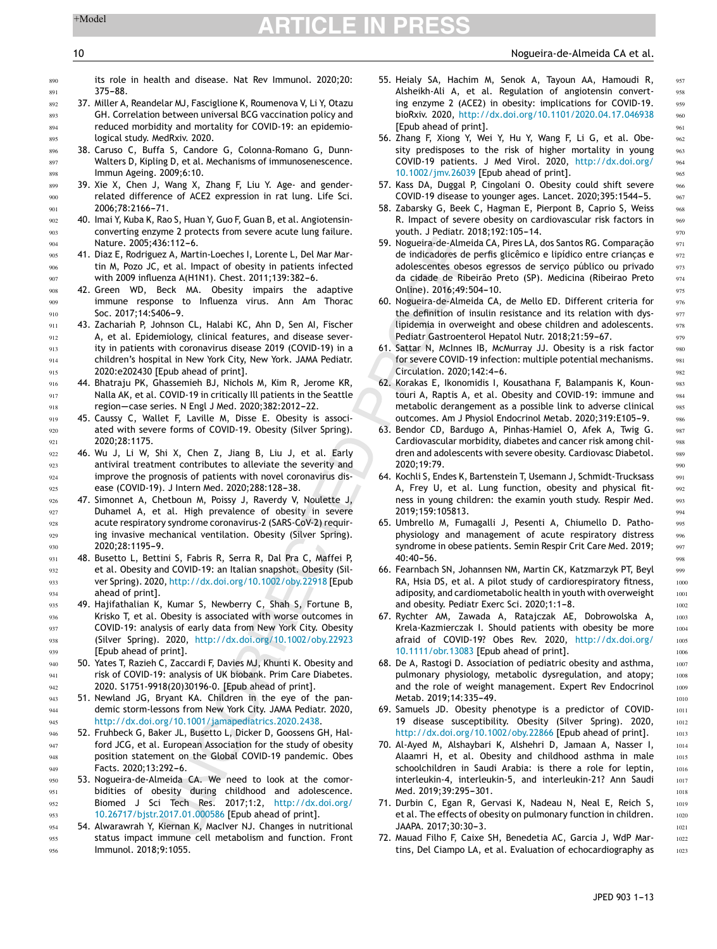### <span id="page-9-0"></span>10 Nogueira-de-Almeida CA et al.

**890** 891

its role in health and disease. Nat Rev Immunol. 2020;20: 375-88.

- 37. Miller A, Reandelar MJ, Fasciglione K, Roumenova V, Li Y, Otazu GH. Correlation between universal BCG vaccination policy and reduced morbidity and mortality for COVID-19: an epidemiological study. MedRxiv. 2020. 892 893 894 895
	- 38. Caruso C, Buffa S, Candore G, Colonna-Romano G, Dunn-Walters D, Kipling D, et al. Mechanisms of immunosenescence. Immun Ageing. 2009;6:10.
	- 39. Xie X, Chen J, Wang X, Zhang F, Liu Y. Age- and genderrelated difference of ACE2 expression in rat lung. Life Sci. 2006;78:2166-71.
	- 40. Imai Y, Kuba K, Rao S, Huan Y, Guo F, Guan B, et al. Angiotensinconverting enzyme 2 protects from severe acute lung failure. Nature. 2005;436:112-6.
	- 41. Diaz E, Rodriguez A, Martin-Loeches I, Lorente L, Del Mar Martin M, Pozo JC, et al. Impact of obesity in patients infected with 2009 influenza A(H1N1). Chest. 2011;139:382-6.
	- 42. Green WD, Beck MA. Obesity impairs the adaptive immune response to Influenza virus. Ann Am Thorac Soc. 2017;14:S406-9.
	- 43. Zachariah P, Johnson CL, Halabi KC, Ahn D, Sen AI, Fischer A, et al. Epidemiology, clinical features, and disease severity in patients with coronavirus disease 2019 (COVID-19) in a children's hospital in New York City, New York. JAMA Pediatr. 2020:e202430 [Epub ahead of print].
	- 44. Bhatraju PK, Ghassemieh BJ, Nichols M, Kim R, Jerome KR, Nalla AK, et al. COVID-19 in critically Ill patients in the Seattle region-case series. N Engl J Med. 2020;382:2012-22.
	- 45. Caussy C, Wallet F, Laville M, Disse E. Obesity is associated with severe forms of COVID-19. Obesity (Silver Spring). 2020;28:1175.
	- 46. Wu J, Li W, Shi X, Chen Z, Jiang B, Liu J, et al. Early antiviral treatment contributes to alleviate the severity and improve the prognosis of patients with novel coronavirus disease (COVID-19). J Intern Med. 2020;288:128-38.
	- 47. Simonnet A, Chetboun M, Poissy J, Raverdy V, Noulette J, Duhamel A, et al. High prevalence of obesity in severe acute respiratory syndrome coronavirus-2 (SARS-CoV-2) requiring invasive mechanical ventilation. Obesity (Silver Spring). 2020:28:1195-9.
	- 48. Busetto L, Bettini S, Fabris R, Serra R, Dal Pra C, Maffei P, et al. Obesity and COVID-19: an Italian snapshot. Obesity (Silver Spring). 2020, [http://dx.doi.org/10.1002/oby.22918](dx.doi.org/10.1002/oby.22918) [Epub ahead of print].
	- 49. Hajifathalian K, Kumar S, Newberry C, Shah S, Fortune B, Krisko T, et al. Obesity is associated with worse outcomes in COVID-19: analysis of early data from New York City. Obesity (Silver Spring). 2020, [http://dx.doi.org/10.1002/oby.22923](dx.doi.org/10.1002/oby.22923) [Epub ahead of print].
	- 50. Yates T, Razieh C, Zaccardi F, Davies MJ, Khunti K. Obesity and risk of COVID-19: analysis of UK biobank. Prim Care Diabetes. 2020. S1751-9918(20)30196-0. [Epub ahead of print].
	- 51. Newland JG, Bryant KA. Children in the eye of the pandemic storm-lessons from New York City. JAMA Pediatr. 2020, [http://dx.doi.org/10.1001/jamapediatrics.2020.2438](dx.doi.org/10.1001/jamapediatrics.2020.2438).
- 52. Fruhbeck G, Baker JL, Busetto L, Dicker D, Goossens GH, Halford JCG, et al. European Association for the study of obesity position statement on the Global COVID-19 pandemic. Obes Facts. 2020:13:292-6. 946 947 948 949
- 53. Nogueira-de-Almeida CA. We need to look at the comorbidities of obesity during childhood and adolescence. Biomed J Sci Tech Res. 2017;1:2, [http://dx.doi.org/](dx.doi.org/10.26717/bjstr.2017.01.000586) [10.26717/bjstr.2017.01.000586](dx.doi.org/10.26717/bjstr.2017.01.000586) [Epub ahead of print]. 950  $951$ 952 953
- 54. Alwarawrah Y, Kiernan K, MacIver NJ. Changes in nutritional status impact immune cell metabolism and function. Front Immunol. 2018;9:1055. 954  $055$ 956
- 55. Heialy SA, Hachim M, Senok A, Tayoun AA, Hamoudi R, Alsheikh-Ali A, et al. Regulation of angiotensin converting enzyme 2 (ACE2) in obesity: implications for COVID-19. bioRxiv. 2020, [http://dx.doi.org/10.1101/2020.04.17.046938](dx.doi.org/10.1101/2020.04.17.046938) [Epub ahead of print].
- 56. Zhang F, Xiong Y, Wei Y, Hu Y, Wang F, Li G, et al. Obesity predisposes to the risk of higher mortality in young COVID-19 patients. J Med Virol. 2020, [http://dx.doi.org/](dx.doi.org/10.1002/jmv.26039) [10.1002/jmv.26039](dx.doi.org/10.1002/jmv.26039) [Epub ahead of print].
- 57. Kass DA, Duggal P, Cingolani O. Obesity could shift severe COVID-19 disease to younger ages. Lancet. 2020;395:1544-5.
- 58. Zabarsky G, Beek C, Hagman E, Pierpont B, Caprio S, Weiss R. Impact of severe obesity on cardiovascular risk factors in youth. J Pediatr. 2018;192:105-14.
- 59. Nogueira-de-Almeida CA, Pires LA, dos Santos RG. Comparação de indicadores de perfis glicêmico e lipídico entre criancas e adolescentes obesos egressos de serviço público ou privado da cidade de Ribeirão Preto (SP). Medicina (Ribeirao Preto Online). 2016;49:504-10.
- 60. Nogueira-de-Almeida CA, de Mello ED. Different criteria for the definition of insulin resistance and its relation with dyslipidemia in overweight and obese children and adolescents. Pediatr Gastroenterol Hepatol Nutr. 2018;21:59-67.
- 61. Sattar N, McInnes IB, McMurray JJ. Obesity is a risk factor for severe COVID-19 infection: multiple potential mechanisms. Circulation. 2020:142:4-6.
- 62. Korakas E, Ikonomidis I, Kousathana F, Balampanis K, Kountouri A, Raptis A, et al. Obesity and COVID-19: immune and metabolic derangement as a possible link to adverse clinical outcomes. Am J Physiol Endocrinol Metab. 2020;319:E105-9.
- 63. Bendor CD, Bardugo A, Pinhas-Hamiel O, Afek A, Twig G. Cardiovascular morbidity, diabetes and cancer risk among children and adolescents with severe obesity. Cardiovasc Diabetol. 2020;19:79.
- 64. Kochli S, Endes K, Bartenstein T, Usemann J, Schmidt-Trucksass A, Frey U, et al. Lung function, obesity and physical fitness in young children: the examin youth study. Respir Med. 2019;159:105813.
- 65. Umbrello M, Fumagalli J, Pesenti A, Chiumello D. Pathophysiology and management of acute respiratory distress syndrome in obese patients. Semin Respir Crit Care Med. 2019;  $40:40-56$ .
- 66. Fearnbach SN, Johannsen NM, Martin CK, Katzmarzyk PT, Beyl RA, Hsia DS, et al. A pilot study of cardiorespiratory fitness, adiposity, and cardiometabolic health in youth with overweight and obesity. Pediatr Exerc Sci. 2020;1:1-8.
- 67. Rychter AM, Zawada A, Ratajczak AE, Dobrowolska A, Krela-Kazmierczak I. Should patients with obesity be more afraid of COVID-19? Obes Rev. 2020, [http://dx.doi.org/](dx.doi.org/10.1111/obr.13083) [10.1111/obr.13083](dx.doi.org/10.1111/obr.13083) [Epub ahead of print].
- 68. De A, Rastogi D. Association of pediatric obesity and asthma, pulmonary physiology, metabolic dysregulation, and atopy; and the role of weight management. Expert Rev Endocrinol Metab. 2019:14:335-49.
- 69. Samuels JD. Obesity phenotype is a predictor of COVID-19 disease susceptibility. Obesity (Silver Spring). 2020, [http://dx.doi.org/10.1002/oby.22866](dx.doi.org/10.1002/oby.22866) [Epub ahead of print].
- 70. Al-Ayed M, Alshaybari K, Alshehri D, Jamaan A, Nasser I, Alaamri H, et al. Obesity and childhood asthma in male schoolchildren in Saudi Arabia: is there a role for leptin, interleukin-4, interleukin-5, and interleukin-21? Ann Saudi Med. 2019;39:295-301.
- 71. Durbin C, Egan R, Gervasi K, Nadeau N, Neal E, Reich S, et al. The effects of obesity on pulmonary function in children. JAAPA. 2017;30:30-3.
- 72. Mauad Filho F, Caixe SH, Benedetia AC, Garcia J, WdP Martins, Del Ciampo LA, et al. Evaluation of echocardiography as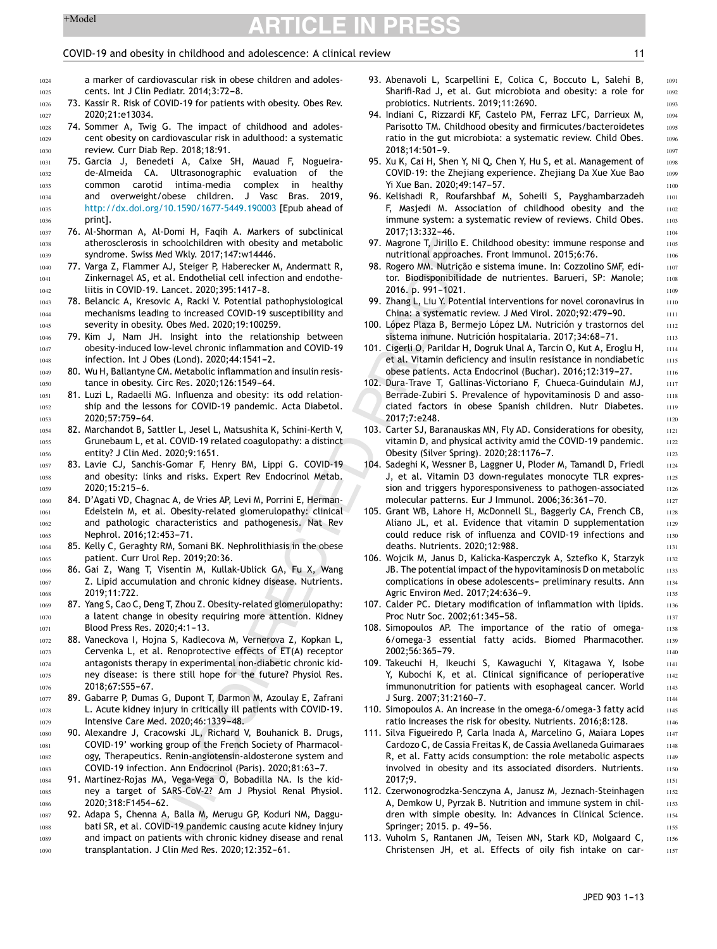1051 1052 1053

# <span id="page-10-0"></span> $+$ Model **ARTICLE IN PRESS**

# COVID-19 and obesity in childhood and adolescence: A clinical review 11

1091

a marker of cardiovascular risk in obese children and adolescents. Int J Clin Pediatr. 2014:3:72-8.

- 73. Kassir R. Risk of COVID-19 for patients with obesity. Obes Rev. 2020;21:e13034.
- 74. Sommer A, Twig G. The impact of childhood and adolescent obesity on cardiovascular risk in adulthood: a systematic review. Curr Diab Rep. 2018;18:91.
- 75. Garcia J, Benedeti A, Caixe SH, Mauad F, Nogueirade-Almeida CA. Ultrasonographic evaluation of the common carotid intima-media complex in healthy and overweight/obese children. J Vasc Bras. 2019, [http://dx.doi.org/10.1590/1677-5449.190003](dx.doi.org/10.1590/1677-5449.190003) [Epub ahead of print]. 1031 1032 1033 1034 1035 1036
- 76. Al-Shorman A, Al-Domi H, Faqih A. Markers of subclinical atherosclerosis in schoolchildren with obesity and metabolic syndrome. Swiss Med Wkly. 2017;147:w14446. 1037 1038 1039
	- 77. Varga Z, Flammer AJ, Steiger P, Haberecker M, Andermatt R, Zinkernagel AS, et al. Endothelial cell infection and endotheliitis in COVID-19. Lancet. 2020;395:1417-8.
	- 78. Belancic A, Kresovic A, Racki V. Potential pathophysiological mechanisms leading to increased COVID-19 susceptibility and severity in obesity. Obes Med. 2020;19:100259.
- 79. Kim J, Nam JH. Insight into the relationship between obesity-induced low-level chronic inflammation and COVID-19 infection. Int J Obes (Lond). 2020;44:1541-2. 1047 1048
- 80. Wu H, Ballantyne CM. Metabolic inflammation and insulin resistance in obesity. Circ Res. 2020;126:1549-64. 1049 1050
	- 81. Luzi L, Radaelli MG. Influenza and obesity: its odd relationship and the lessons for COVID-19 pandemic. Acta Diabetol. 2020:57:759-64.
- 82. Marchandot B, Sattler L, Jesel L, Matsushita K, Schini-Kerth V, Grunebaum L, et al. COVID-19 related coagulopathy: a distinct entity? J Clin Med. 2020;9:1651. 1054 1055 1056
- 83. Lavie CJ, Sanchis-Gomar F, Henry BM, Lippi G. COVID-19 and obesity: links and risks. Expert Rev Endocrinol Metab.  $2020:15:215-6.$ 1057 1058 1059
- 84. D'Agati VD, Chagnac A, de Vries AP, Levi M, Porrini E, Herman-Edelstein M, et al. Obesity-related glomerulopathy: clinical and pathologic characteristics and pathogenesis. Nat Rev Nephrol. 2016;12:453-71. 1060 1061 1062 1063
- 85. Kelly C, Geraghty RM, Somani BK. Nephrolithiasis in the obese patient. Curr Urol Rep. 2019;20:36. 1064 1065
- 86. Gai Z, Wang T, Visentin M, Kullak-Ublick GA, Fu X, Wang Z. Lipid accumulation and chronic kidney disease. Nutrients. 2019;11:722. 1066 1067 1068
- 87. Yang S, Cao C, Deng T, Zhou Z. Obesity-related glomerulopathy: a latent change in obesity requiring more attention. Kidney Blood Press Res. 2020;4:1-13. 1069 1070 1071
- 88. Vaneckova I, Hojna S, Kadlecova M, Vernerova Z, Kopkan L, Cervenka L, et al. Renoprotective effects of ET(A) receptor antagonists therapy in experimental non-diabetic chronic kidney disease: is there still hope for the future? Physiol Res. 2018;67:S55-67. 1072 1073 1074 1075 1076
- 89. Gabarre P, Dumas G, Dupont T, Darmon M, Azoulay E, Zafrani L. Acute kidney injury in critically ill patients with COVID-19. Intensive Care Med. 2020;46:1339-48. 1077 1078 1079
- 90. Alexandre J, Cracowski JL, Richard V, Bouhanick B. Drugs, COVID-19' working group of the French Society of Pharmacology, Therapeutics. Renin-angiotensin-aldosterone system and COVID-19 infection. Ann Endocrinol (Paris). 2020;81:63-7. 1080 1081 1082 1083
- 91. Martinez-Rojas MA, Vega-Vega O, Bobadilla NA. Is the kidney a target of SARS-CoV-2? Am J Physiol Renal Physiol. 2020;318:F1454-62. 1084 1085 1086
- 92. Adapa S, Chenna A, Balla M, Merugu GP, Koduri NM, Daggubati SR, et al. COVID-19 pandemic causing acute kidney injury and impact on patients with chronic kidney disease and renal transplantation. J Clin Med Res. 2020;12:352-61. 1087 1088 1089 1090
- 93. Abenavoli L, Scarpellini E, Colica C, Boccuto L, Salehi B, Sharifi-Rad J, et al. Gut microbiota and obesity: a role for probiotics. Nutrients. 2019;11:2690.
- 94. Indiani C, Rizzardi KF, Castelo PM, Ferraz LFC, Darrieux M, Parisotto TM. Childhood obesity and firmicutes/bacteroidetes ratio in the gut microbiota: a systematic review. Child Obes. 2018:14:501-9.
- 95. Xu K, Cai H, Shen Y, Ni Q, Chen Y, Hu S, et al. Management of COVID-19: the Zhejiang experience. Zhejiang Da Xue Xue Bao Yi Xue Ban. 2020:49:147-57.
- 96. Kelishadi R, Roufarshbaf M, Soheili S, Payghambarzadeh F, Masjedi M. Association of childhood obesity and the immune system: a systematic review of reviews. Child Obes. 2017;13:332-46.
- 97. Magrone T, Jirillo E. Childhood obesity: immune response and nutritional approaches. Front Immunol. 2015;6:76.
- 98. Rogero MM. Nutrição e sistema imune. In: Cozzolino SMF, editor. Biodisponibilidade de nutrientes. Barueri, SP: Manole; 2016. p. 991-1021.
- 99. Zhang L, Liu Y. Potential interventions for novel coronavirus in China: a systematic review. J Med Virol. 2020;92:479-90.
- 100. López Plaza B, Bermejo López LM. Nutrición y trastornos del sistema inmune. Nutrición hospitalaria. 2017;34:68-71.
- 101. Cigerli O, Parildar H, Dogruk Unal A, Tarcin O, Kut A, Eroglu H, et al. Vitamin deficiency and insulin resistance in nondiabetic obese patients. Acta Endocrinol (Buchar). 2016;12:319-27.
- 102. Dura-Trave T, Gallinas-Victoriano F, Chueca-Guindulain MJ, Berrade-Zubiri S. Prevalence of hypovitaminosis D and associated factors in obese Spanish children. Nutr Diabetes. 2017;7:e248.
- 103. Carter SJ, Baranauskas MN, Fly AD. Considerations for obesity, vitamin D, and physical activity amid the COVID-19 pandemic. Obesity (Silver Spring). 2020;28:1176-7.
- 104. Sadeghi K, Wessner B, Laggner U, Ploder M, Tamandl D, Friedl J, et al. Vitamin D3 down-regulates monocyte TLR expression and triggers hyporesponsiveness to pathogen-associated molecular patterns. Eur J Immunol. 2006;36:361-70.
- 105. Grant WB, Lahore H, McDonnell SL, Baggerly CA, French CB, Aliano JL, et al. Evidence that vitamin D supplementation could reduce risk of influenza and COVID-19 infections and deaths. Nutrients. 2020;12:988.
- 106. Wojcik M, Janus D, Kalicka-Kasperczyk A, Sztefko K, Starzyk JB. The potential impact of the hypovitaminosis D on metabolic complications in obese adolescents- preliminary results. Ann Agric Environ Med. 2017;24:636-9.
- 107. Calder PC. Dietary modification of inflammation with lipids. Proc Nutr Soc. 2002;61:345-58.
- 108. Simopoulos AP. The importance of the ratio of omega-6/omega-3 essential fatty acids. Biomed Pharmacother. 2002:56:365-79.
- 109. Takeuchi H, Ikeuchi S, Kawaguchi Y, Kitagawa Y, Isobe Y, Kubochi K, et al. Clinical significance of perioperative immunonutrition for patients with esophageal cancer. World J Surg. 2007;31:2160-7.
- 110. Simopoulos A. An increase in the omega-6/omega-3 fatty acid ratio increases the risk for obesity. Nutrients. 2016;8:128.
- 111. Silva Figueiredo P, Carla Inada A, Marcelino G, Maiara Lopes Cardozo C, de Cassia Freitas K, de Cassia Avellaneda Guimaraes R, et al. Fatty acids consumption: the role metabolic aspects involved in obesity and its associated disorders. Nutrients. 2017;9.
- 112. Czerwonogrodzka-Senczyna A, Janusz M, Jeznach-Steinhagen A, Demkow U, Pyrzak B. Nutrition and immune system in children with simple obesity. In: Advances in Clinical Science. Springer; 2015. p. 49-56.
- 113. Vuholm S, Rantanen JM, Teisen MN, Stark KD, Molgaard C, Christensen JH, et al. Effects of oily fish intake on car-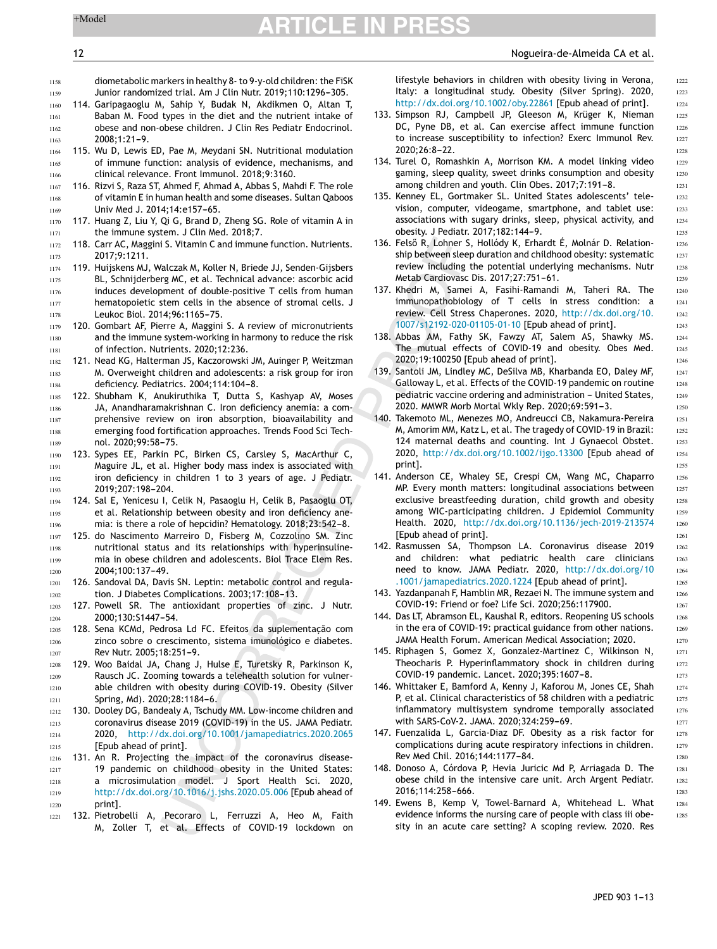# 12 Nogueira-de-Almeida CA et al.

<span id="page-11-0"></span>

1158 1159 diometabolic markers in healthy 8- to 9-y-old children: the FiSK Junior randomized trial. Am J Clin Nutr. 2019;110:1296-305.

- 114. Garipagaoglu M, Sahip Y, Budak N, Akdikmen O, Altan T, Baban M. Food types in the diet and the nutrient intake of obese and non-obese children. J Clin Res Pediatr Endocrinol.  $2008:1:21-9.$ 1160 1161 1162 1163
- 115. Wu D, Lewis ED, Pae M, Meydani SN. Nutritional modulation of immune function: analysis of evidence, mechanisms, and clinical relevance. Front Immunol. 2018;9:3160. 1164 1165 1166
- 116. Rizvi S, Raza ST, Ahmed F, Ahmad A, Abbas S, Mahdi F. The role of vitamin E in human health and some diseases. Sultan Qaboos Univ Med J. 2014;14:e157-65. 1167 1168 1169
- 117. Huang Z, Liu Y, Qi G, Brand D, Zheng SG. Role of vitamin A in the immune system. J Clin Med. 2018;7. 1170 1171
- 118. Carr AC, Maggini S. Vitamin C and immune function. Nutrients. 2017;9:1211. 1172 1173
- 119. Huijskens MJ, Walczak M, Koller N, Briede JJ, Senden-Gijsbers BL, Schnijderberg MC, et al. Technical advance: ascorbic acid induces development of double-positive T cells from human hematopoietic stem cells in the absence of stromal cells. J Leukoc Biol. 2014:96:1165-75. 1174 1175 1176 1177 1178
- 120. Gombart AF, Pierre A, Maggini S. A review of micronutrients and the immune system-working in harmony to reduce the risk of infection. Nutrients. 2020;12:236. 1179 1180 1181
- 121. Nead KG, Halterman JS, Kaczorowski JM, Auinger P, Weitzman M. Overweight children and adolescents: a risk group for iron deficiency. Pediatrics. 2004;114:104-8. 1182 1183 1184
- 122. Shubham K, Anukiruthika T, Dutta S, Kashyap AV, Moses JA, Anandharamakrishnan C. Iron deficiency anemia: a comprehensive review on iron absorption, bioavailability and emerging food fortification approaches. Trends Food Sci Technol. 2020;99:58-75. 1185 1186 1187 1188 1189
- 123. Sypes EE, Parkin PC, Birken CS, Carsley S, MacArthur C, Maguire JL, et al. Higher body mass index is associated with iron deficiency in children 1 to 3 years of age. J Pediatr. 2019;207:198-204. 1190 1191 1192 1193
- 124. Sal E, Yenicesu I, Celik N, Pasaoglu H, Celik B, Pasaoglu OT, et al. Relationship between obesity and iron deficiency anemia: is there a role of hepcidin? Hematology. 2018;23:542-8. 1194 1195 1196
- 125. do Nascimento Marreiro D, Fisberg M, Cozzolino SM. Zinc nutritional status and its relationships with hyperinsulinemia in obese children and adolescents. Biol Trace Elem Res. 2004:100:137-49. 1197 1198 1199 1200
- 126. Sandoval DA, Davis SN. Leptin: metabolic control and regulation. J Diabetes Complications. 2003;17:108-13. 1201 1202
- 127. Powell SR. The antioxidant properties of zinc. J Nutr. 2000:130:S1447-54. 1203 1204
- 128. Sena KCMd, Pedrosa Ld FC. Efeitos da suplementação com zinco sobre o crescimento, sistema imunológico e diabetes. Rev Nutr. 2005:18:251-9. 1205 1206 1207
- 129. Woo Baidal JA, Chang J, Hulse E, Turetsky R, Parkinson K, Rausch JC. Zooming towards a telehealth solution for vulnerable children with obesity during COVID-19. Obesity (Silver Spring, Md). 2020;28:1184-6. 1208 1209 1210 1211
- 130. Dooley DG, Bandealy A, Tschudy MM. Low-income children and coronavirus disease 2019 (COVID-19) in the US. JAMA Pediatr. 2020, [http://dx.doi.org/10.1001/jamapediatrics.2020.2065](dx.doi.org/10.1001/jamapediatrics.2020.2065) [Epub ahead of print]. 1212 1213 1214 1215
- 131. An R. Projecting the impact of the coronavirus disease-19 pandemic on childhood obesity in the United States: a microsimulation model. J Sport Health Sci. 2020, [http://dx.doi.org/10.1016/j.jshs.2020.05.006](dx.doi.org/10.1016/j.jshs.2020.05.006) [Epub ahead of print]. 1216 1217 1218 1219 1220
- 132. Pietrobelli A, Pecoraro L, Ferruzzi A, Heo M, Faith M, Zoller T, et al. Effects of COVID-19 lockdown on 1221

lifestyle behaviors in children with obesity living in Verona, Italy: a longitudinal study. Obesity (Silver Spring). 2020, [http://dx.doi.org/10.1002/oby.22861](dx.doi.org/10.1002/oby.22861) [Epub ahead of print].

- 133. Simpson RJ, Campbell JP, Gleeson M, Krüger K, Nieman DC, Pyne DB, et al. Can exercise affect immune function to increase susceptibility to infection? Exerc Immunol Rev. 2020:26:8-22.
- 134. Turel O, Romashkin A, Morrison KM. A model linking video gaming, sleep quality, sweet drinks consumption and obesity among children and youth. Clin Obes. 2017;7:191-8.
- 135. Kenney EL, Gortmaker SL. United States adolescents' television, computer, videogame, smartphone, and tablet use: associations with sugary drinks, sleep, physical activity, and obesity. J Pediatr. 2017;182:144-9.
- 136. Felső R, Lohner S, Hollódy K, Erhardt É, Molnár D. Relationship between sleep duration and childhood obesity: systematic review including the potential underlying mechanisms. Nutr Metab Cardiovasc Dis. 2017;27:751-61.
- 137. Khedri M, Samei A, Fasihi-Ramandi M, Taheri RA. The immunopathobiology of T cells in stress condition: a review. Cell Stress Chaperones. 2020, [http://dx.doi.org/10.](dx.doi.org/10.1007/s12192-020-01105-01-10) [1007/s12192-020-01105-01-10](dx.doi.org/10.1007/s12192-020-01105-01-10) [Epub ahead of print].
- 138. Abbas AM, Fathy SK, Fawzy AT, Salem AS, Shawky MS. The mutual effects of COVID-19 and obesity. Obes Med. 2020;19:100250 [Epub ahead of print].
- 139. Santoli JM, Lindley MC, DeSilva MB, Kharbanda EO, Daley MF, Galloway L, et al. Effects of the COVID-19 pandemic on routine pediatric vaccine ordering and administration - United States, 2020. MMWR Morb Mortal Wkly Rep. 2020;69:591-3.
- 140. Takemoto ML, Menezes MO, Andreucci CB, Nakamura-Pereira M, Amorim MM, Katz L, et al. The tragedy of COVID-19 in Brazil: 124 maternal deaths and counting. Int J Gynaecol Obstet. 2020, [http://dx.doi.org/10.1002/ijgo.13300](dx.doi.org/10.1002/ijgo.13300) [Epub ahead of print].
- 141. Anderson CE, Whaley SE, Crespi CM, Wang MC, Chaparro MP. Every month matters: longitudinal associations between exclusive breastfeeding duration, child growth and obesity among WIC-participating children. J Epidemiol Community Health. 2020, [http://dx.doi.org/10.1136/jech-2019-213574](dx.doi.org/10.1136/jech-2019-213574) [Epub ahead of print].
- 142. Rasmussen SA, Thompson LA. Coronavirus disease 2019 and children: what pediatric health care clinicians need to know. JAMA Pediatr. 2020, [http://dx.doi.org/10](dx.doi.org/10.1001/jamapediatrics.2020.1224) [.1001/jamapediatrics.2020.1224](dx.doi.org/10.1001/jamapediatrics.2020.1224) [Epub ahead of print].
- 143. Yazdanpanah F, Hamblin MR, Rezaei N. The immune system and COVID-19: Friend or foe? Life Sci. 2020;256:117900.
- 144. Das LT, Abramson EL, Kaushal R, editors. Reopening US schools in the era of COVID-19: practical guidance from other nations. JAMA Health Forum. American Medical Association; 2020.
- 145. Riphagen S, Gomez X, Gonzalez-Martinez C, Wilkinson N, Theocharis P. Hyperinflammatory shock in children during COVID-19 pandemic. Lancet. 2020;395:1607-8.
- 146. Whittaker E, Bamford A, Kenny J, Kaforou M, Jones CE, Shah P, et al. Clinical characteristics of 58 children with a pediatric inflammatory multisystem syndrome temporally associated with SARS-CoV-2. JAMA. 2020;324:259-69.
- 147. Fuenzalida L, Garcia-Diaz DF. Obesity as a risk factor for complications during acute respiratory infections in children. Rev Med Chil. 2016;144:1177-84.
- 148. Donoso A, Córdova P, Hevia Juricic Md P, Arriagada D. The obese child in the intensive care unit. Arch Argent Pediatr. 2016:114:258-666.
- 149. Ewens B, Kemp V, Towel-Barnard A, Whitehead L. What evidence informs the nursing care of people with class iii obesity in an acute care setting? A scoping review. 2020. Res